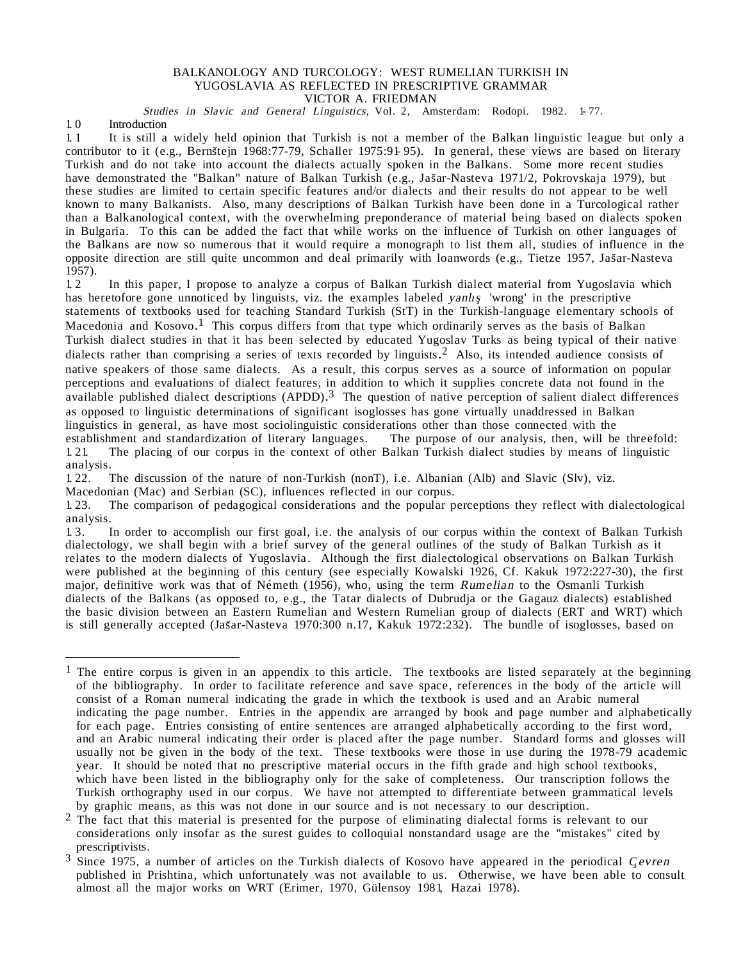# BALKANOLOGY AND TURCOLOGY: WEST RUMELIAN TURKISH IN YUGOSLAVIA AS REFLECTED IN PRESCRIPTIVE GRAMMAR

VICTOR A. FRIEDMAN

Studies in Slavic and General Linguistics, Vol. 2, Amsterdam: Rodopi. 1982. 1-77.

1. 0 Introduction

1.1 It is still a widely held opinion that Turkish is not a member of the Balkan linguistic league but only a contributor to it (e.g., Bernštejn 1968:77-79, Schaller 1975:91-95). In general, these views are based on literary Turkish and do not take into account the dialects actually spoken in the Balkans. Some more recent studies ˆ have demonstrated the "Balkan" nature of Balkan Turkish (e.g., Jas ar-Nasteva 1971/2, Pokrovskaja 1979), but these studies are limited to certain specific features and/or dialects and their results do not appear to be well known to many Balkanists. Also, many descriptions of Balkan Turkish have been done in a Turcological rather than a Balkanological context, with the overwhelming preponderance of material being based on dialects spoken in Bulgaria. To this can be added the fact that while works on the influence of Turkish on other languages of the Balkans are now so numerous that it would require a monograph to list them all, studies of influence in the ˆ opposite direction are still quite uncommon and deal primarily with loanwords (e.g., Tietze 1957, Jas ar-Nasteva 1957).

1. 2 In this paper, I propose to analyze a corpus of Balkan Turkish dialect material from Yugoslavia which has heretofore gone unnoticed by linguists, viz. the examples labeled *yanlış* 'wrong' in the prescriptive statements of textbooks used for teaching Standard Turkish (StT) in the Turkish-language elementary schools of Macedonia and Kosovo.<sup>1</sup> This corpus differs from that type which ordinarily serves as the basis of Balkan Turkish dialect studies in that it has been selected by educated Yugoslav Turks as being typical of their native dialects rather than comprising a series of texts recorded by linguists.<sup>2</sup> Also, its intended audience consists of native speakers of those same dialects. As a result, this corpus serves as a source of information on popular perceptions and evaluations of dialect features, in addition to which it supplies concrete data not found in the  $a$ vailable published dialect descriptions (APDD).<sup>3</sup> The question of native perception of salient dialect differences as opposed to linguistic determinations of significant isoglosses has gone virtually unaddressed in Balkan linguistics in general, as have most sociolinguistic considerations other than those connected with the establishment and standardization of literary languages. The purpose of our analysis, then, will be threefold:<br>1.21. The placing of our corpus in the context of other Balkan Turkish dialect studies by means of linguistic The placing of our corpus in the context of other Balkan Turkish dialect studies by means of linguistic analysis.<br>1.22.

The discussion of the nature of non-Turkish (nonT), i.e. Albanian (Alb) and Slavic (Slv), viz.

Macedonian (Mac) and Serbian (SC), influences reflected in our corpus.

1. 23. The comparison of pedagogical considerations and the popular perceptions they reflect with dialectological analysis.<br>1.3.

In order to accomplish our first goal, i.e. the analysis of our corpus within the context of Balkan Turkish dialectology, we shall begin with a brief survey of the general outlines of the study of Balkan Turkish as it relates to the modern dialects of Yugoslavia. Although the first dialectological observations on Balkan Turkish were published at the beginning of this century (see especially Kowalski 1926, Cf. Kakuk 1972:227-30), the first major, definitive work was that of Németh (1956), who, using the term Rumelian to the Osmanli Turkish dialects of the Balkans (as opposed to, e.g., the Tatar dialects of Dubrudja or the Gagauz dialects) established the basic division between an Eastern Rumelian and Western Rumelian group of dialects (ERT and WRT) which is still generally accepted (Jas ar-Nasteva 1970:300 n.17, Kakuk 1972:232). The bundle of isoglosses, based on

<sup>&</sup>lt;sup>1</sup> The entire corpus is given in an appendix to this article. The textbooks are listed separately at the beginning of the bibliography. In order to facilitate reference and save space, references in the body of the article will consist of a Roman numeral indicating the grade in which the textbook is used and an Arabic numeral indicating the page number. Entries in the appendix are arranged by book and page number and alphabetically for each page. Entries consisting of entire sentences are arranged alphabetically according to the first word, and an Arabic numeral indicating their order is placed after the page number. Standard forms and glosses will usually not be given in the body of the text. These textbooks were those in use during the 1978-79 academic year. It should be noted that no prescriptive material occurs in the fifth grade and high school textbooks, which have been listed in the bibliography only for the sake of completeness. Our transcription follows the Turkish orthography used in our corpus. We have not attempted to differentiate between grammatical levels

 $<sup>2</sup>$  The fact that this material is presented for the purpose of eliminating dialectal forms is relevant to our</sup> considerations only insofar as the surest guides to colloquial nonstandard usage are the "mistakes" cited by

prescriptivists.<br><sup>3</sup> Since 1975, a number of articles on the Turkish dialects of Kosovo have appeared in the periodical *Cevren* published in Prishtina, which unfortunately was not available to us. Otherwise, we have been able to consult almost all the major works on WRT (Erimer, 1970, Gülensoy 1981, Hazai 1978).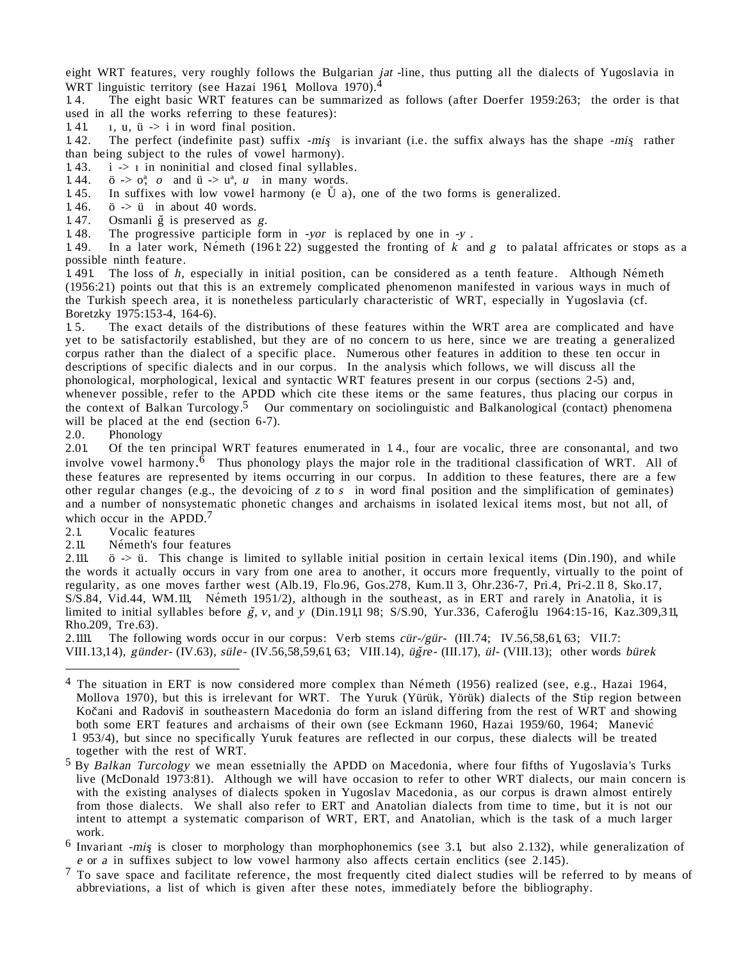eight WRT features, very roughly follows the Bulgarian *jat* -line, thus putting all the dialects of Yugoslavia in WRT linguistic territory (see Hazai 1961, Mollova 1970). 4

1. 4. The eight basic WRT features can be summarized as follows (after Doerfer 1959:263; the order is that used in all the works referring to these features):<br>1.41 1. u.  $\ddot{u} \rightarrow i$  in word final position.

1. 41.  $\mu$ ,  $\ddot{u}$ ,  $\ddot{v}$  -> i in word final position.<br>1. 42. The perfect (indefinite past) suffix

The perfect (indefinite past) suffix  $-mis$  is invariant (i.e. the suffix always has the shape  $-mis$  rather than being subject to the rules of vowel harmony).

1. 43. i -> 1 in noninitial and closed final syllables.<br>1. 44. ö ->  $\sigma_i^a$  o and  $\ddot{u}$  ->  $u^a$ , u in many words.

1. 44. ö ->  $o^a$ , o and ü ->  $u^a$ , u in many words.<br>1. 45. In suffixes with low yowel harmony (e  $\mathring{U}$  a)

1. 45. In suffixes with low vowel harmony (e  $\hat{U}$  a), one of the two forms is generalized.<br>1. 46.  $\ddot{o}$  ->  $\ddot{o}$  in about 40 words.

 $\ddot{o}$  ->  $\ddot{u}$  in about 40 words.

1.47. Osmanli  $\check{g}$  is preserved as  $g$ .<br>1.48. The progressive participle for

1.48. The progressive participle form in -yor is replaced by one in -y.  $1.49$ . In a later work. Németh (1961: 22) suggested the fronting of k and

In a later work, Ne´meth (1961: 22) suggested the fronting of k and g to palatal affricates or stops as a possible ninth feature.<br>1491 The loss of h,

The loss of  $h$ , especially in initial position, can be considered as a tenth feature. Although Németh (1956:21) points out that this is an extremely complicated phenomenon manifested in various ways in much of the Turkish speech area, it is nonetheless particularly characteristic of WRT, especially in Yugoslavia (cf. Boretzky 1975:153-4, 164-6).

1. 5. The exact details of the distributions of these features within the WRT area are complicated and have yet to be satisfactorily established, but they are of no concern to us here, since we are treating a generalized corpus rather than the dialect of a specific place. Numerous other features in addition to these ten occur in descriptions of specific dialects and in our corpus. In the analysis which follows, we will discuss all the phonological, morphological, lexical and syntactic WRT features present in our corpus (sections 2-5) and, whenever possible, refer to the APDD which cite these items or the same features, thus placing our corpus in the context of Balkan Turcology.<sup>5</sup> Our commentary on sociolinguistic and Balkanological (contact) phenomena will be placed at the end (section 6-7).

2.0. Phonology<br>2.01 Of the ten 2.01. Of the ten principal WRT features enumerated in 1. 4., four are vocalic, three are consonantal, and two involve vowel harmony.<sup>6</sup> Thus phonology plays the major role in the traditional classification of WRT. All of these features are represented by items occurring in our corpus. In addition to these features, there are a few other regular changes (e.g., the devoicing of z to s in word final position and the simplification of geminates) and a number of nonsystematic phonetic changes and archaisms in isolated lexical items most, but not all, of which occur in the APDD.<sup>7</sup>

2.1. Vocalic features

2.11. Németh's four features<br>2.111.  $\ddot{o}$  ->  $\ddot{u}$ . This change i

 $\ddot{o}$  -> ü. This change is limited to syllable initial position in certain lexical items (Din.190), and while the words it actually occurs in vary from one area to another, it occurs more frequently, virtually to the point of regularity, as one moves farther west (Alb.19, Flo.96, Gos.278, Kum.11 3, Ohr.236-7, Pri.4, Pri-2.11 8, Sko.17, S/S.84, Vid.44, WM.111, Németh 1951/2), although in the southeast, as in ERT and rarely in Anatolia, it is limited to initial syllables before  $\check{g}$ , v, and v (Din.191,1 98; S/S.90, Yur.336, CaferogTlu 1964:15-16, Kaz.309,311, Rho.209, Tre.63).

2.1111. The following words occur in our corpus: Verb stems cür-/gür- (III.74; IV.56,58,61, 63; VII.7: VIII.13,14), günder- (IV.63), süle- (IV.56,58,59,61, 63; VIII.14), üğre- (III.17), ül- (VIII.13); other words bürek

 $4$  The situation in ERT is now considered more complex than Németh (1956) realized (see, e.g., Hazai 1964, Mollova 1970), but this is irrelevant for WRT. The Yuruk (Yürük, Yörük) dialects of the Stip region between Kočani and Radoviš in southeastern Macedonia do form an island differing from the rest of WRT and showing both some ERT features and archaisms of their own (see Eckmann 1960, Hazai 1959/60, 1964; Manević 1 953/4), but since no specifically Yuruk features are reflected in our corpus, these dialects will be treated

together with the rest of WRT.<br><sup>5</sup> By Balkan Turcology we mean essetnially the APDD on Macedonia, where four fifths of Yugoslavia's Turks live (McDonald 1973:81). Although we will have occasion to refer to other WRT dialects, our main concern is with the existing analyses of dialects spoken in Yugoslav Macedonia, as our corpus is drawn almost entirely from those dialects. We shall also refer to ERT and Anatolian dialects from time to time, but it is not our intent to attempt a systematic comparison of WRT, ERT, and Anatolian, which is the task of a much larger

work.<br>Invariant -mis is closer to morphology than morphophonemics (see 3.1, but also 2.132), while generalization of<br>e or a in suffixes subject to low vowel harmony also affects certain enclitics (see 2.145).

 $\frac{7}{7}$  To save space and facilitate reference, the most frequently cited dialect studies will be referred to by means of abbreviations, a list of which is given after these notes, immediately before the bibliography.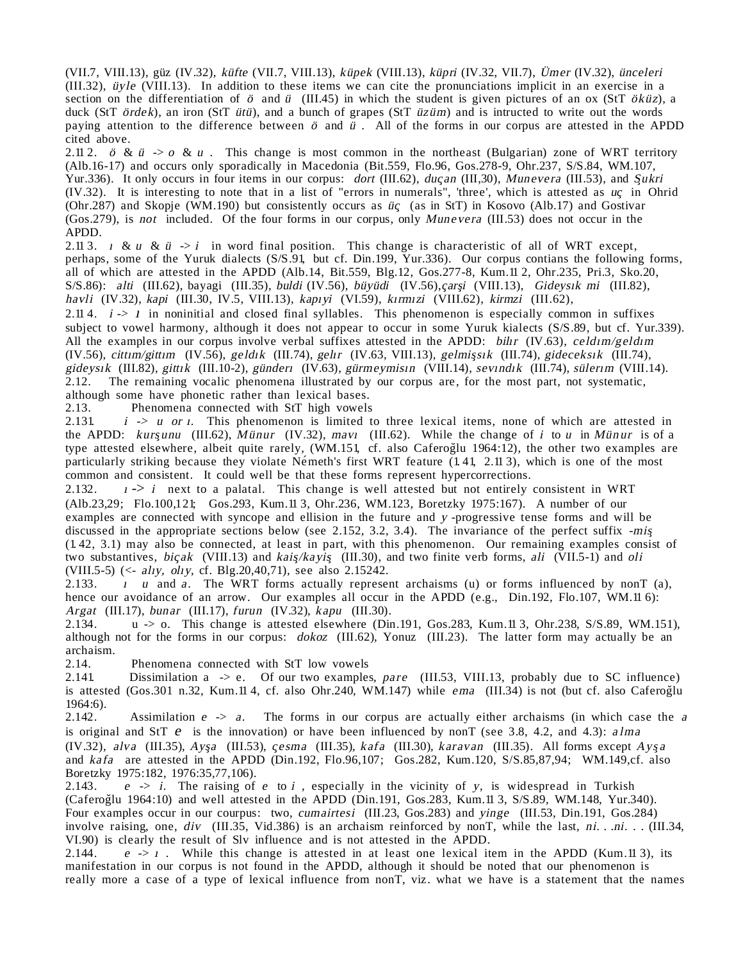(VII.7, VIII.13), güz (IV.32), küfte (VII.7, VIII.13), küpek (VIII.13), küpri (IV.32, VII.7), Ümer (IV.32), ünceleri (III.32), üyle (VIII.13). In addition to these items we can cite the pronunciations implicit in an exercise in a section on the differentiation of  $\ddot{o}$  and  $\ddot{u}$  (III.45) in which the student is given pictures of an ox (StT  $\ddot{o}k\ddot{u}z$ ), a duck (StT ördek), an iron (StT ütü), and a bunch of grapes (StT üzüm) and is intructed to write out the words paying attention to the difference between ö and <sup>ü</sup> . All of the forms in our corpus are attested in the APDD cited above.

2.11 2. ö &  $\ddot{u}$   $\rightarrow$  o &  $u$ . This change is most common in the northeast (Bulgarian) zone of WRT territory (Alb.16-17) and occurs only sporadically in Macedonia (Bit.559, Flo.96, Gos.278-9, Ohr.237, S/S.84, WM.107, Yur.336). It only occurs in four items in our corpus: dort (III.62), duçan (III,30), Munevera (III.53), and Sukri (IV.32). It is interesting to note that in a list of "errors in numerals", 'three', which is attested as uç in Ohrid (Ohr.287) and Skopje (WM.190) but consistently occurs as  $\ddot{u}$  (as in StT) in Kosovo (Alb.17) and Gostivar (Gos.279), is not included. Of the four forms in our corpus, only Munevera (III.53) does not occur in the APDD.

2.11 3.  $\mu \& \mu \& \mu \rightarrow i$  in word final position. This change is characteristic of all of WRT except, perhaps, some of the Yuruk dialects (S/S.91, but cf. Din.199, Yur.336). Our corpus contians the following forms, all of which are attested in the APDD (Alb.14, Bit.559, Blg.12, Gos.277-8, Kum.11 2, Ohr.235, Pri.3, Sko.20, S/S.86): alti (III.62), bayagi (III.35), buldi (IV.56), büyüdi (IV.56),çarşı (VIII.13), Gideysık mi (III.82), havli (IV.32), kapi (III.30, IV.5, VIII.13), kapıyi (VI.59), kırmızi (VIII.62), kirmzi (III.62),

2.11 4.  $i \rightarrow 1$  in noninitial and closed final syllables. This phenomenon is especially common in suffixes subject to vowel harmony, although it does not appear to occur in some Yuruk kialects (S/S.89, but cf. Yur.339). All the examples in our corpus involve verbal suffixes attested in the APDD: bilir (IV.63), celdim/geldim (IV.56), cittm/gittm (IV.56), geldik (III.74), gelir (IV.63, VIII.13), gelmişsik (III.74), gideceksik (III.74), gideysık (III.82), gittik (III.10-2), günderi (IV.63), gürmeymisin (VIII.14), sevindik (III.74), sülerim (VIII.14). 2.12. The remaining vocalic phenomena illustrated by our corpus are, for the most part, not systematic, although some have phonetic rather than lexical bases.<br>2.13. Phenomena connected with StT high vowels

Phenomena connected with StT high vowels

2.131. *i -> u or i*. This phenomenon is limited to three lexical items, none of which are attested in the APDD: kurşunu (III.62), Münur (IV.32), mavı (III.62). While the change of i to u in Münur is of a type attested elsewhere, albeit quite rarely, (WM.151, cf. also Caferoğlu 1964:12), the other two examples are particularly striking because they violate Németh's first WRT feature  $(1.41, 2.113)$ , which is one of the most common and consistent. It could well be that these forms represent hypercorrections.

2.132.  $I \rightarrow I$  next to a palatal. This change is well attested but not entirely consistent in WRT (Alb.23,29; Flo.100,121; Gos.293, Kum.11 3, Ohr.236, WM.123, Boretzky 1975:167). A number of our examples are connected with syncope and ellision in the future and y -progressive tense forms and will be discussed in the appropriate sections below (see 2.152, 3.2, 3.4). The invariance of the perfect suffix -mis (1. 42, 3.1) may also be connected, at least in part, with this phenomenon. Our remaining examples consist of two substantives, bicak (VIII.13) and kais/kayis<sub>(III.30)</sub>, and two finite verb forms, ali (VII.5-1) and oli (VIII.5-5) (<- aliy, oliy, cf. Blg.20,40,71), see also 2.15242.

2.133.  $\mu$  u and a. The WRT forms actually represent archaisms (u) or forms influenced by nonT (a), hence our avoidance of an arrow. Our examples all occur in the APDD (e.g., Din.192, Flo.107, WM.11 6): Argat (III.17), bunar (III.17), furun (IV.32), kapu (III.30).

2.134. u -> o. This change is attested elsewhere (Din.191, Gos.283, Kum.11 3, Ohr.238, S/S.89, WM.151), although not for the forms in our corpus: dokoz (III.62), Yonuz (III.23). The latter form may actually be an archaism.<br>2.14.

2.14. Phenomena connected with StT low vowels<br>2.141. Dissimilation a -> e. Of our two examples

Dissimilation a  $\rightarrow$  e. Of our two examples, pare (III.53, VIII.13, probably due to SC influence) is attested (Gos.301 n.32, Kum.11 4, cf. also Ohr.240, WM.147) while  $ema$  (III.34) is not (but cf. also CaferogTu 1964:6).

2.142. Assimilation  $e \rightarrow a$ . The forms in our corpus are actually either archaisms (in which case the a is original and StT  $e$  is the innovation) or have been influenced by nonT (see 3.8, 4.2, and 4.3): alma (IV.32), alva (III.35), Ayşa (III.53), cesma (III.35), kafa (III.30), karavan (III.35). All forms except Ayşa and kafa are attested in the APDD (Din.192, Flo.96,107; Gos.282, Kum.120, S/S.85,87,94; WM.149,cf. also Boretzky 1975:182, 1976:35,77,106).<br>2.143.  $e \rightarrow i$ . The raising of

 $e \rightarrow i$ . The raising of e to i, especially in the vicinity of y, is widespread in Turkish (Caferog˘lu 1964:10) and well attested in the APDD (Din.191, Gos.283, Kum.11 3, S/S.89, WM.148, Yur.340). Four examples occur in our courpus: two, cumairtesi (III.23, Gos.283) and yinge (III.53, Din.191, Gos.284) involve raising, one, div (III.35, Vid.386) is an archaism reinforced by nonT, while the last, ni. . .ni. . . (III.34, VI.90) is clearly the result of Slv influence and is not attested in the APDD.<br>2.144.  $e \rightarrow 1$ . While this change is attested in at least one lexical it

 $e \rightarrow 1$ . While this change is attested in at least one lexical item in the APDD (Kum.11 3), its manifestation in our corpus is not found in the APDD, although it should be noted that our phenomenon is really more a case of a type of lexical influence from nonT, viz. what we have is a statement that the names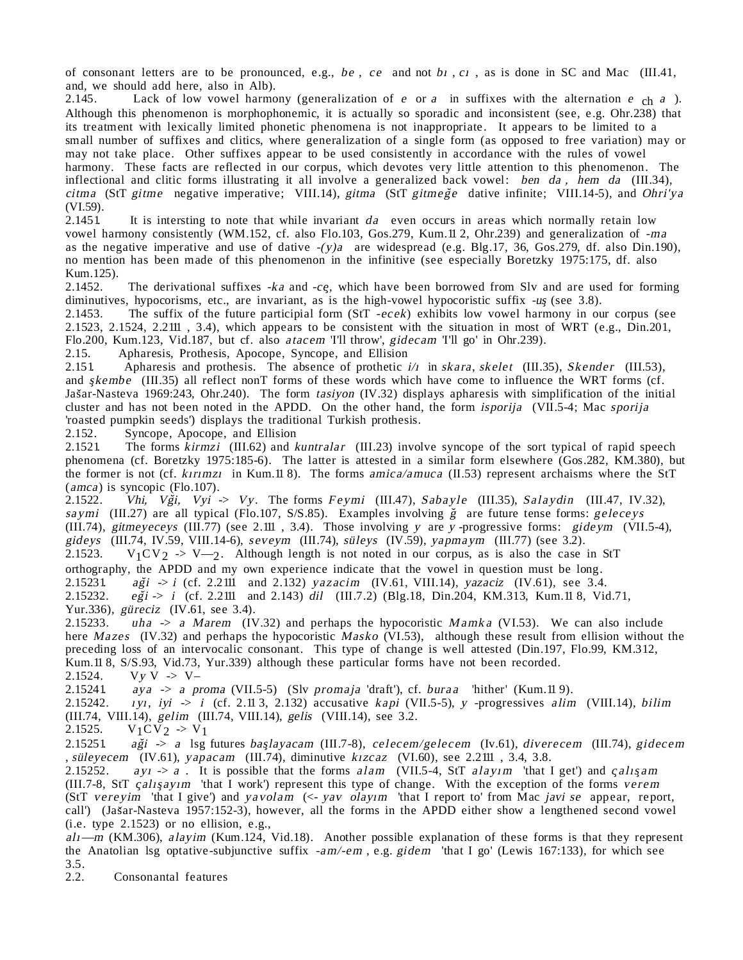of consonant letters are to be pronounced, e.g., be, ce and not b<sub>i</sub>, c<sub>i</sub>, as is done in SC and Mac (III.41, and, we should add here, also in Alb).<br>2.145. Lack of low yowel harmo

Lack of low vowel harmony (generalization of e or a in suffixes with the alternation e  $ch a$ ). Although this phenomenon is morphophonemic, it is actually so sporadic and inconsistent (see, e.g. Ohr.238) that its treatment with lexically limited phonetic phenomena is not inappropriate. It appears to be limited to a small number of suffixes and clitics, where generalization of a single form (as opposed to free variation) may or may not take place. Other suffixes appear to be used consistently in accordance with the rules of vowel harmony. These facts are reflected in our corpus, which devotes very little attention to this phenomenon. The inflectional and clitic forms illustrating it all involve a generalized back vowel: ben da, hem da (III.34), citma (StT gitme negative imperative; VIII.14), gitma (StT gitmege dative infinite; VIII.14-5), and Ohri'ya  $(VI.59)$ .<br>2.1451

It is intersting to note that while invariant  $da$  even occurs in areas which normally retain low vowel harmony consistently (WM.152, cf. also Flo.103, Gos.279, Kum.11 2, Ohr.239) and generalization of -ma as the negative imperative and use of dative  $-(y)a$  are widespread (e.g. Blg.17, 36, Gos.279, df. also Din.190), no mention has been made of this phenomenon in the infinitive (see especially Boretzky 1975:175, df. also Kum.125).

2.1452. The derivational suffixes  $-ka$  and  $-c$ g, which have been borrowed from Slv and are used for forming diminutives, hypocorisms, etc., are invariant, as is the high-vowel hypocoristic suffix -us (see 3.8).

2.1453. The suffix of the future participial form (StT -ecek) exhibits low vowel harmony in our corpus (see 2.1523, 2.1524, 2.2111 , 3.4), which appears to be consistent with the situation in most of WRT (e.g., Din.201, Flo.200, Kum.123, Vid.187, but cf. also *atacem* 'I'll throw', *gidecam* 'I'll go' in Ohr.239).<br>2.15. Apharesis, Prothesis, Apocope, Syncope, and Ellision

2.15. Apharesis, Prothesis, Apocope, Syncope, and Ellision<br>2.151 Apharesis and prothesis. The absence of prothetic is

Apharesis and prothesis. The absence of prothetic  $i/\tau$  in skara, skelet (III.35), Skender (III.53), and  $\frac{s}{k}$  (III.35) all reflect nonT forms of these words which have come to influence the WRT forms (cf. Jas ar-Nasteva 1969:243, Ohr.240). The form tasiyon (IV.32) displays apharesis with simplification of the initial cluster and has not been noted in the APDD. On the other hand, the form isporija (VII.5-4; Mac sporija 'roasted pumpkin seeds') displays the traditional Turkish prothesis.

2.152. Syncope, Apocope, and Ellision<br>2.1521. The forms kirmzi (III.62) and k

The forms kirmzi (III.62) and kuntralar (III.23) involve syncope of the sort typical of rapid speech phenomena (cf. Boretzky 1975:185-6). The latter is attested in a similar form elsewhere (Gos.282, KM.380), but the former is not (cf. kirimzi in Kum.11 8). The forms amica/amuca (II.53) represent archaisms where the StT  $(amca)$  is syncopic (Flo.107).<br>2.1522. *Vhi. Vği. Vyi* 

Vhi, Vği, Vyi -> Vy. The forms Feymi (III.47), Sabayle (III.35), Salaydin (III.47, IV.32), saymi (III.27) are all typical (Flo.107, S/S.85). Examples involving  $\check{g}$  are future tense forms: geleceys (III.74), gitmeyeceys (III.77) (see 2.111 , 3.4). Those involving y are y -progressive forms: gideym (VII.5-4), gideys (III.74, IV.59, VIII.14-6), seveym (III.74), süleys (IV.59), yapmaym (III.77) (see 3.2).<br>2.1523. V<sub>1</sub>CV<sub>2</sub> -> V--2. Although length is not noted in our corpus, as is also the case  $V_1CV_2 \rightarrow V_{2}$ . Although length is not noted in our corpus, as is also the case in StT orthography, the APDD and my own experience indicate that the vowel in question must be long.<br>2.15231  $a\breve{g}i \rightarrow i$  (cf. 2.2111 and 2.132) vazacim (IV.61, VIII.14), vazaciz (IV.61), see 3.4  $a\ddot{g}i \rightarrow i$  (cf. 2.2111 and 2.132) yazacim (IV.61, VIII.14), yazaciz (IV.61), see 3.4.

2.15232.  $e\breve{g}i \rightarrow i$  (cf. 2.2111 and 2.143) dil (III.7.2) (Blg.18, Din.204, KM.313, Kum.11 8, Vid.71, Yur.336), güreciz (IV.61, see 3.4).

2.15233. uha  $\rightarrow$  a Marem (IV.32) and perhaps the hypocoristic Mamka (VI.53). We can also include here Mazes (IV.32) and perhaps the hypocoristic Masko (VI.53), although these result from ellision without the preceding loss of an intervocalic consonant. This type of change is well attested (Din.197, Flo.99, KM.312, Kum.11 8, S/S.93, Vid.73, Yur.339) although these particular forms have not been recorded.

2.1524.  $V_y V \rightarrow V-$ <br>2.15241  $aya \rightarrow a\text{ }p$ 

2.15241. aya -> a proma (VII.5-5) (Slv promaja 'draft'), cf. buraa 'hither' (Kum.11 9).<br>2.15242. *ivi. ivi -> i* (cf. 2.11 3. 2.132) accusative *kapi* (VII.5-5), *v* -progressives *alim* 

 $1y1, iyi \rightarrow i$  (cf. 2.11 3, 2.132) accusative kapi (VII.5-5), y -progressives alim (VIII.14), bilim (III.74, VIII.14), gelim (III.74, VIII.14), gelis (VIII.14), see 3.2.

2.1525. 
$$
V_1CV_2 \rightarrow V_1
$$

2.15251. aği -> a lsg futures başlayacam (III.7-8), celecem/gelecem (Iv.61), diverecem (III.74), gidecem , süleyecem (IV.61), yapacam (III.74), diminutive kızcaz (VI.60), see 2.2111 , 3.4, 3.8.

2.15252. ay  $1 \rightarrow a$ . It is possible that the forms alam (VII.5-4, StT alayim 'that I get') and calis am (III.7-8, StT calisayim 'that I work') represent this type of change. With the exception of the forms verem (StT vereyim 'that I give') and yavolam (<- yav olayım 'that I report to' from Mac javi se appear, report, call') (Jas ar-Nasteva 1957:152-3), however, all the forms in the APDD either show a lengthened second vowel (i.e. type 2.1523) or no ellision, e.g.,

 $al<sub>1</sub>$ —m (KM.306), alayim (Kum.124, Vid.18). Another possible explanation of these forms is that they represent the Anatolian lsg optative-subjunctive suffix -am/-em , e.g. gidem 'that I go' (Lewis 167:133), for which see  $3.5.$ <br> $2.2.$ 

Consonantal features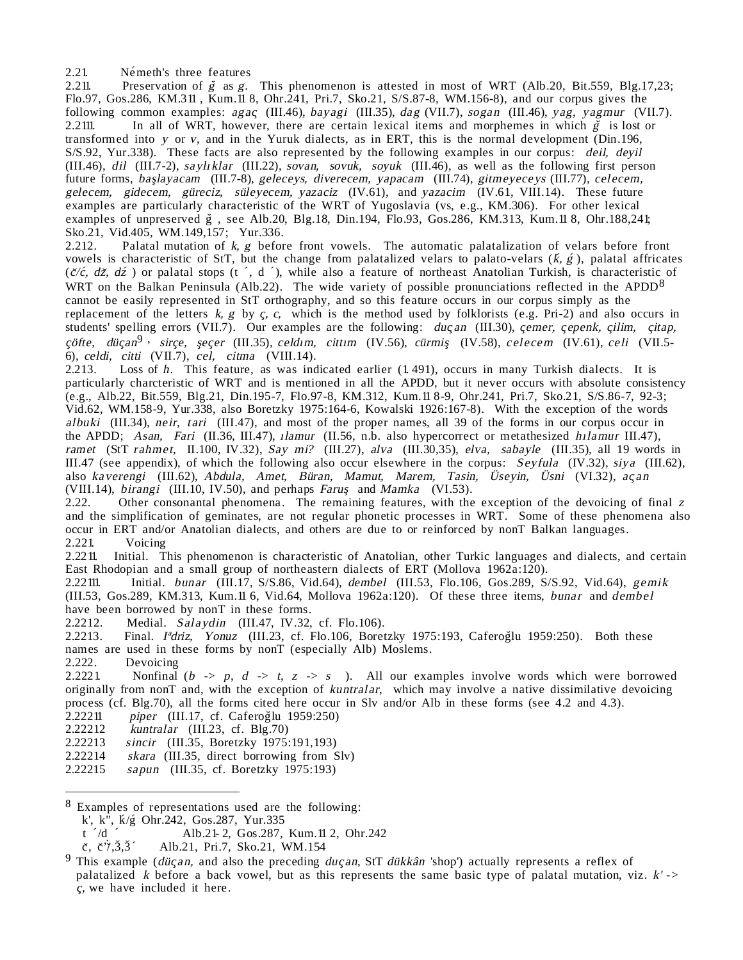2.21. Németh's three features

2.211. Preservation of  $\zeta$  as g. This phenomenon is attested in most of WRT (Alb.20, Bit.559, Blg.17,23; Flo.97, Gos.286, KM.311 , Kum.11 8, Ohr.241, Pri.7, Sko.21, S/S.87-8, WM.156-8), and our corpus gives the following common examples: agac (III.46), bayagi (III.35), dag (VII.7), sogan (III.46), yag, yagmur (VII.7). 2.2111. In all of WRT, however, there are certain lexical items and morphemes in which  $\zeta$  is lost or transformed into y or v, and in the Yuruk dialects, as in ERT, this is the normal development (Din.196, S/S.92, Yur.338). These facts are also represented by the following examples in our corpus: deil, deyil (III.46), dil (III.7-2), saylıklar (III.22), sovan, sovuk, soyuk (III.46), as well as the following first person future forms, başlayacam (III.7-8), geleceys, diverecem, yapacam (III.74), gitmeyeceys (III.77), celecem, gelecem, gidecem, güreciz, süleyecem, yazaciz (IV.61), and yazacim (IV.61, VIII.14). These future examples are particularly characteristic of the WRT of Yugoslavia (vs, e.g., KM.306). For other lexical examples of unpreserved  $\check{g}$ , see Alb.20, Blg.18, Din.194, Flo.93, Gos.286, KM.313, Kum.11 8, Ohr.188,241; Sko.21, Vid.405, WM.149,157; Yur.336.

2.212. Palatal mutation of  $k, g$  before front vowels. The automatic palatalization of velars before front vowels is characteristic of StT, but the change from palatalized velars to palato-velars ( $\vec{k}, \vec{g}$ ), palatal affricates ( $\check{c}/\check{c}$ ,  $d\check{z}$ ,  $d\check{z}$ ) or palatal stops (t  $\check{c}$ , d  $\check{c}$ ), while also a feature of northeast Anatolian Turkish, is characteristic of WRT on the Balkan Peninsula (Alb.22). The wide variety of possible pronunciations reflected in the APDD<sup>8</sup> cannot be easily represented in StT orthography, and so this feature occurs in our corpus simply as the replacement of the letters  $k$ ,  $g$  by  $c$ ,  $c$ , which is the method used by folklorists (e.g. Pri-2) and also occurs in students' spelling errors (VII.7). Our examples are the following: ducan (III.30), cemer, cepenk, cilim, citap, cöfte, dücan<sup>9</sup>, sirce, secer (III.35), celdim, cittim (IV.56), cürmiş (IV.58), celecem (IV.61), celi (VII.5-6), celdi, citti (VII.7), cel, citma (VIII.14).

2.213. Loss of h. This feature, as was indicated earlier (1.491), occurs in many Turkish dialects. It is particularly charcteristic of WRT and is mentioned in all the APDD, but it never occurs with absolute consistency (e.g., Alb.22, Bit.559, Blg.21, Din.195-7, Flo.97-8, KM.312, Kum.11 8-9, Ohr.241, Pri.7, Sko.21, S/S.86-7, 92-3; Vid.62, WM.158-9, Yur.338, also Boretzky 1975:164-6, Kowalski 1926:167-8). With the exception of the words albuki (III.34), neir, tari (III.47), and most of the proper names, all 39 of the forms in our corpus occur in the APDD; Asan, Fari (II.36, III.47), *ilamur* (II.56, n.b. also hypercorrect or metathesized hilamur III.47), ramet (StT rahmet, II.100, IV.32), Say mi? (III.27), alva (III.30,35), elva, sabayle (III.35), all 19 words in III.47 (see appendix), of which the following also occur elsewhere in the corpus: Seyfula (IV.32), siya (III.62), also kaverengi (III.62), Abdula, Amet, Büran, Mamut, Marem, Tasin, Üseyin, Üsni (VI.32), acan (VIII.14), *birangi* (III.10, IV.50), and perhaps *Farus* and *Mamka* (VI.53). 2.22. Other consonantal phenomena. The remaining features, with the

Other consonantal phenomena. The remaining features, with the exception of the devoicing of final  $z$ and the simplification of geminates, are not regular phonetic processes in WRT. Some of these phenomena also occur in ERT and/or Anatolian dialects, and others are due to or reinforced by nonT Balkan languages.<br>2.221 Voicing Voicing

2.2211. Initial. This phenomenon is characteristic of Anatolian, other Turkic languages and dialects, and certain East Rhodopian and a small group of northeastern dialects of ERT (Mollova 1962a:120).

2.22111. Initial. bunar (III.17, S/S.86, Vid.64), dembel (III.53, Flo.106, Gos.289, S/S.92, Vid.64), gemik (III.53, Gos.289, KM.313, Kum.11 6, Vid.64, Mollova 1962a:120). Of these three items, bunar and dembel have been borrowed by nonT in these forms.<br>2.2212. Medial. Salaydin (III.47, IV.32.)

Medial. Salaydin (III.47, IV.32, cf. Flo.106).

2.2213. Final. I<sup>a</sup>driz, Yonuz (III.23, cf. Flo.106, Boretzky 1975:193, Caferoglu 1959:250). Both these names are used in these forms by nonT (especially Alb) Moslems.<br>2.222. Devoicing

2.222. Devoicing<br>2.2221. Nonfinal

Nonfinal (b  $\rightarrow$  p, d  $\rightarrow$  t, z  $\rightarrow$  s). All our examples involve words which were borrowed originally from nonT and, with the exception of kuntralar, which may involve a native dissimilative devoicing process (cf. Blg.70), all the forms cited here occur in Slv and/or Alb in these forms (see 4.2 and 4.3).

- $2.22211$  piper (III.17, cf. Caferoglu 1959:250)
- 2.22212 kuntralar (III.23, cf. Blg.70)<br>2.22213 sincir (III.35, Boretzky 1975;
- sincir (III.35, Boretzky 1975:191,193)
- 2.22214 skara (III.35, direct borrowing from Slv)
- 2.22215 sapun (III.35, cf. Boretzky 1975:193)

8 Examples of representations used are the following:

 $\check{\mathbf{c}}, \check{\mathbf{c}}$ '' $\check{\mathbf{c}}, \check{\mathbf{3}}, \check{\mathbf{3}}$ ' Alb.21, Pri.7, Sko.21, WM.154

k', k'', *k*/g<sup>c</sup> Ohr.242, Gos.287, Yur.335

Alb.21- 2, Gos.287, Kum.11 2, Ohr.242 t  $\ell$ ˆ

<sup>&</sup>lt;sup>9</sup> This example (düçan, and also the preceding duçan, StT dükkân 'shop') actually represents a reflex of palatalized k before a back vowel, but as this represents the same basic type of palatal mutation, viz.  $k'$  -> c, we have included it here.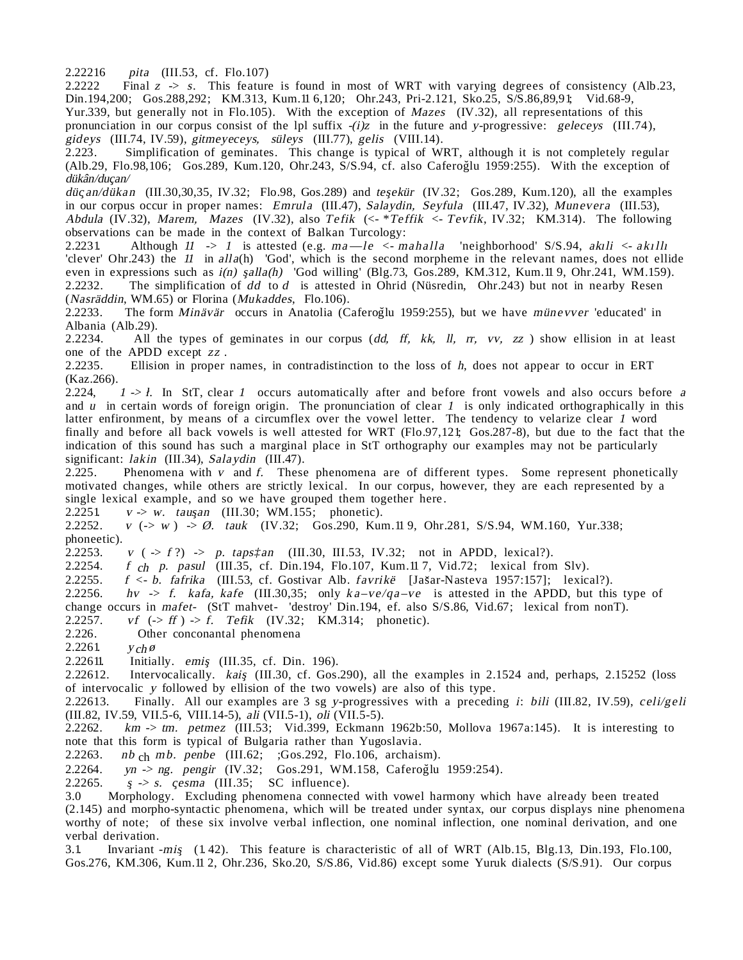2.22216 pita (III.53, cf. Flo.107)

2.2222 Final <sup>z</sup> -> s. This feature is found in most of WRT with varying degrees of consistency (Alb.23, Din.194,200; Gos.288,292; KM.313, Kum.11 6,120; Ohr.243, Pri-2.121, Sko.25, S/S.86,89,91; Vid.68-9, Yur.339, but generally not in Flo.105). With the exception of Mazes (IV.32), all representations of this pronunciation in our corpus consist of the lpl suffix  $-(i)z$  in the future and y-progressive: geleceys (III.74), gideys (III.74, IV.59), gitmeyeceys, süleys (III.77), gelis (VIII.14).

2.223. Simplification of geminates. This change is typical of WRT, although it is not completely regular (Alb.29, Flo.98,106; Gos.289, Kum.120, Ohr.243, S/S.94, cf. also CaferogIu 1959:255). With the exception of dükân/ducan/

düçan/dükan (III.30,30,35, IV.32; Flo.98, Gos.289) and teşekür (IV.32; Gos.289, Kum.120), all the examples in our corpus occur in proper names: Emrula (III.47), Salaydin, Seyfula (III.47, IV.32), Munevera (III.53), Abdula (IV.32), Marem, Mazes (IV.32), also Tefik (<- \*Teffik <- Tevfik, IV.32; KM.314). The following observations can be made in the context of Balkan Turcology:

2.2231. Although  $11 \rightarrow 1$  is attested (e.g.  $ma-le \leftarrow mahalla$  'neighborhood' S/S.94, akili  $\leftarrow ah111$ 'clever' Ohr.243) the  $11$  in alla(h) 'God', which is the second morpheme in the relevant names, does not ellide even in expressions such as  $i(n)$  s<sub>q</sub>alla(h) 'God willing' (Blg.73, Gos.289, KM.312, Kum.11 9, Ohr.241, WM.159).<br>2.2232. The simplification of dd to d is attested in Ohrid (Nüsredin, Ohr.243) but not in nearby Resen The simplification of  $dd$  to  $d$  is attested in Ohrid (Nüsredin, Ohr.243) but not in nearby Resen (Nasräddin, WM.65) or Florina (Mukaddes, Flo.106).<br>2.2233. The form Minävär occurs in Anatolia (C

The form Minävär occurs in Anatolia (Caferoğlu 1959:255), but we have münevver 'educated' in Albania (Alb.29).<br>2.2234. All t

All the types of geminates in our corpus  $(dd, ff, kk, ll, rr, vy, zz)$  show ellision in at least one of the APDD except zz.<br>2.2235. Ellision in proper

Ellision in proper names, in contradistinction to the loss of  $h$ , does not appear to occur in ERT (Kaz.266).<br>2.224,

 $1 \rightarrow 1$ . In StT, clear 1 occurs automatically after and before front vowels and also occurs before a and  $u$  in certain words of foreign origin. The pronunciation of clear  $1$  is only indicated orthographically in this latter enfironment, by means of a circumflex over the vowel letter. The tendency to velarize clear 1 word finally and before all back vowels is well attested for WRT (Flo.97,121; Gos.287-8), but due to the fact that the indication of this sound has such a marginal place in StT orthography our examples may not be particularly significant: lakin (III.34), Salaydin (III.47).

2.225. Phenomena with v and f. These phenomena are of different types. Some represent phonetically motivated changes, while others are strictly lexical. In our corpus, however, they are each represented by a single lexical example, and so we have grouped them together here.<br>2.2251  $v \rightarrow w$ . tausan (III.30; WM.155; phonetic).

2.2251. v -> w. tauşan (III.30; WM.155; phonetic).<br>2.2252. v (-> w) -> Ø. tauk (IV.32; Gos.290, Kur

 $v(-> w)$  -> Ø. tauk (IV.32; Gos.290, Kum.11 9, Ohr.281, S/S.94, WM.160, Yur.338; phoneetic).<br>2.2253.

2.2253. v  $(-5 f?) \rightarrow p. taps_{\text{tan}}$  (III.30, III.53, IV.32; not in APDD, lexical?).<br>2.2254. f ch p. pasul (III.35, cf. Din.194, Flo.107, Kum.117, Vid.72; lexical from

2.2254. *f*  $_{ch}$  *p. pasul* (III.35, cf. Din.194, Flo.107, Kum.11 7, Vid.72; lexical from Slv).

2.2255. f <- b. fafrika (III.53, cf. Gostivar Alb. favrikë [Jas ar-Nasteva 1957:157]; lexical?).

2.2256. hv  $\rightarrow$  f. kafa, kafe (III.30,35; only ka-ve/qa-ve is attested in the APDD, but this type of

change occurs in mafet- (StT mahvet- 'destroy' Din.194, ef. also S/S.86, Vid.67; lexical from nonT).

2.2257. *vf*  $(-> ff)$   $\rightarrow$  *f. Tefik* (IV.32; KM.314; phonetic).<br>2.226. Other conconantal phenomena

Other conconantal phenomena

2.2261.  $y_{ch} \varnothing$ 

2.22611. Initially. emis¸ (III.35, cf. Din. 196).

2.22612. Intervocalically. kais (III.30, cf. Gos.290), all the examples in 2.1524 and, perhaps, 2.15252 (loss of intervocalic y followed by ellision of the two vowels) are also of this type.

2.22613. Finally. All our examples are 3 sg y-progressives with a preceding i: bili (III.82, IV.59), celi/geli (III.82, IV.59, VII.5-6, VIII.14-5), ali (VII.5-1), oli (VII.5-5).

2.2262. km  $\rightarrow$  tm. petmez (III.53; Vid.399, Eckmann 1962b:50, Mollova 1967a:145). It is interesting to note that this form is typical of Bulgaria rather than Yugoslavia.

2.2263. nb  $_{ch}$  mb. penbe (III.62; ;Gos.292, Flo.106, archaism).<br>2.2264. vn -> ng. pengir (IV.32: Gos.291, WM.158, Caferoğlu

2.2264. *yn -> ng. pengir* (IV.32; Gos.291, WM.158, CaferogIu 1959:254).<br>2.2265. *s -> s. cesma* (III.35: SC influence).

 $s \gg s$ . cesma (III.35; SC influence).

3.0 Morphology. Excluding phenomena connected with vowel harmony which have already been treated (2.145) and morpho-syntactic phenomena, which will be treated under syntax, our corpus displays nine phenomena worthy of note; of these six involve verbal inflection, one nominal inflection, one nominal derivation, and one verbal derivation.

3.1. Invariant -mis¸ (1. 42). This feature is characteristic of all of WRT (Alb.15, Blg.13, Din.193, Flo.100, Gos.276, KM.306, Kum.11 2, Ohr.236, Sko.20, S/S.86, Vid.86) except some Yuruk dialects (S/S.91). Our corpus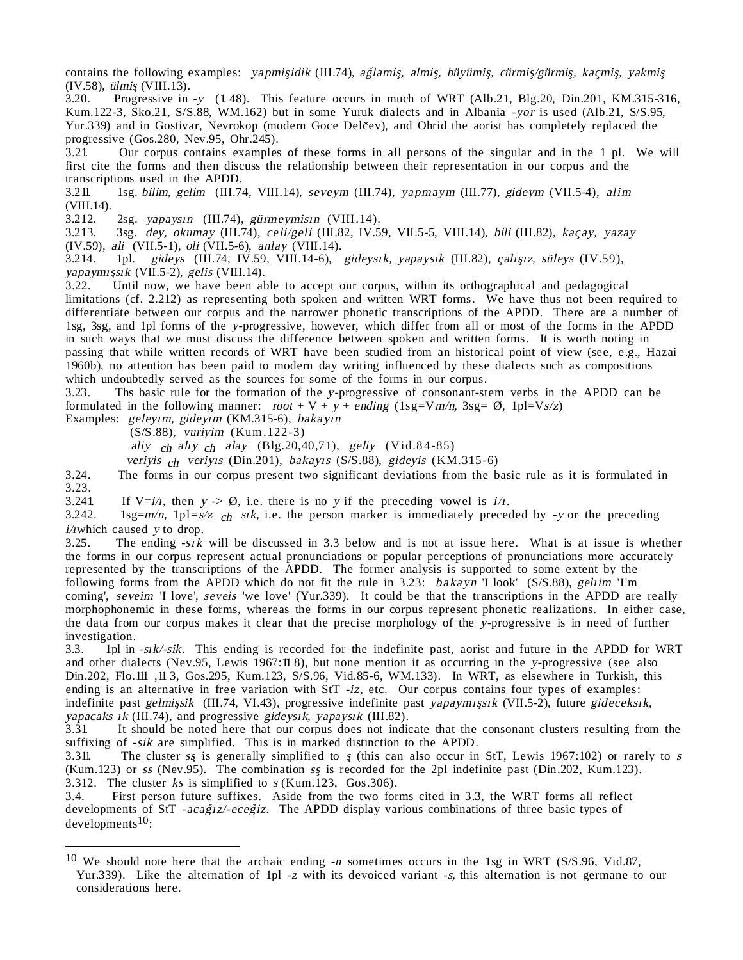contains the following examples: yapmişidik (III.74), ağlamiş, almiş, büyümiş, cürmiş/gürmiş, kaçmiş, yakmiş  $(IV.58)$ , *ülmiş*  $(VIII.13)$ .<br>3.20. Progressive in

3.20. Progressive in -y (1. 48). This feature occurs in much of WRT (Alb.21, Blg.20, Din.201, KM.315-316, Kum.122-3, Sko.21, S/S.88, WM.162) but in some Yuruk dialects and in Albania -yor is used (Alb.21, S/S.95, Yur.339) and in Gostivar, Nevrokop (modern Goce Delčev), and Ohrid the aorist has completely replaced the progressive (Gos.280, Nev.95, Ohr.245).

3.21. Our corpus contains examples of these forms in all persons of the singular and in the 1 pl. We will first cite the forms and then discuss the relationship between their representation in our corpus and the transcriptions used in the APDD.

3.211. 1sg. bilim, gelim (III.74, VIII.14), seveym (III.74), yapmaym (III.77), gideym (VII.5-4), alim (VIII.14).<br>3.212.

3.212. 2sg. yapaysın (III.74), gürmeymisin (VIII.14).<br>3.213. 3sg. dev. okumav (III.74), celi/geli (III.82, IV.5

3sg. dey, okumay (III.74), celi/geli (III.82, IV.59, VII.5-5, VIII.14), bili (III.82), kaçay, yazay (IV.59), ali (VII.5-1), oli (VII.5-6), anlay (VIII.14).<br>3.214. 1pl. gidevs (III.74, IV.59, VIII.14-6).

1pl. gideys (III.74, IV.59, VIII.14-6), gideysik, yapaysık (III.82), çalışız, süleys (IV.59),  $yapaymışsik (VII.5-2),$  gelis (VIII.14).<br>3.22. Until now, we have been ab

Until now, we have been able to accept our corpus, within its orthographical and pedagogical limitations (cf. 2.212) as representing both spoken and written WRT forms. We have thus not been required to differentiate between our corpus and the narrower phonetic transcriptions of the APDD. There are a number of 1sg, 3sg, and 1pl forms of the y-progressive, however, which differ from all or most of the forms in the APDD in such ways that we must discuss the difference between spoken and written forms. It is worth noting in passing that while written records of WRT have been studied from an historical point of view (see, e.g., Hazai 1960b), no attention has been paid to modern day writing influenced by these dialects such as compositions

which undoubtedly served as the sources for some of the forms in our corpus.<br>3.23. The basic rule for the formation of the *v*-progressive of consonant-st Ths basic rule for the formation of the y-progressive of consonant-stem verbs in the APDD can be formulated in the following manner:  $root + V + y + ending (1sg=Nm/n, 3sg = \emptyset, 1pl=Vs/z)$ 

Examples: geleyim, gideyim (KM.315-6), bakayın

(S/S.88), vuriyim (Kum.122-3)

aliy  $ch$  alıy  $ch$  alay (Blg.20,40,71), geliy (Vid.84-85)

veriyis ch veriyis (Din.201), bakayıs (S/S.88), gideyis (KM.315-6)

3.24. The forms in our corpus present two significant deviations from the basic rule as it is formulated in 3.23.

3.241. If  $V=i/1$ , then  $y \rightarrow \emptyset$ , i.e. there is no y if the preceding vowel is  $i/1$ .

3.242. 1sg=m/n, 1pl=s/z  $_{ch}$  sik, i.e. the person marker is immediately preceded by -y or the preceding  $i$ /*i* which caused *y* to drop.<br>3.25. The ending  $-sik$ 

The ending  $-s_1k$  will be discussed in 3.3 below and is not at issue here. What is at issue is whether the forms in our corpus represent actual pronunciations or popular perceptions of pronunciations more accurately represented by the transcriptions of the APDD. The former analysis is supported to some extent by the following forms from the APDD which do not fit the rule in 3.23: bakayn I look' (S/S.88), geliim 'I'm coming', seveim 'I love', seveis 'we love' (Yur.339). It could be that the transcriptions in the APDD are really morphophonemic in these forms, whereas the forms in our corpus represent phonetic realizations. In either case, the data from our corpus makes it clear that the precise morphology of the y-progressive is in need of further investigation.

3.3. 1pl in -sik/-sik. This ending is recorded for the indefinite past, aorist and future in the APDD for WRT and other dialects (Nev.95, Lewis 1967:11 8), but none mention it as occurring in the y-progressive (see also Din.202, Flo.111 ,11 3, Gos.295, Kum.123, S/S.96, Vid.85-6, WM.133). In WRT, as elsewhere in Turkish, this ending is an alternative in free variation with StT -iz, etc. Our corpus contains four types of examples: indefinite past gelmişsik (III.74, VI.43), progressive indefinite past yapaymışsık (VII.5-2), future gideceksık,  $yapacaks \, ik$  (III.74), and progressive gideysik, yapaysik (III.82).

3.31. It should be noted here that our corpus does not indicate that the consonant clusters resulting from the suffixing of -sik are simplified. This is in marked distinction to the APDD.

3.311. The cluster ss is generally simplified to s (this can also occur in StT, Lewis 1967:102) or rarely to s (Kum.123) or ss (Nev.95). The combination ss is recorded for the 2pl indefinite past (Din.202, Kum.123). 3.312. The cluster ks is simplified to s (Kum.123, Gos.306).

3.4. First person future suffixes. Aside from the two forms cited in 3.3, the WRT forms all reflect developments of StT -acağnz/-eceğiz. The APDD display various combinations of three basic types of developments<sup>10</sup>:

<sup>&</sup>lt;sup>10</sup> We should note here that the archaic ending  $-n$  sometimes occurs in the 1sg in WRT (S/S.96, Vid.87, Yur.339). Like the alternation of 1pl -z with its devoiced variant -s, this alternation is not germane to our considerations here.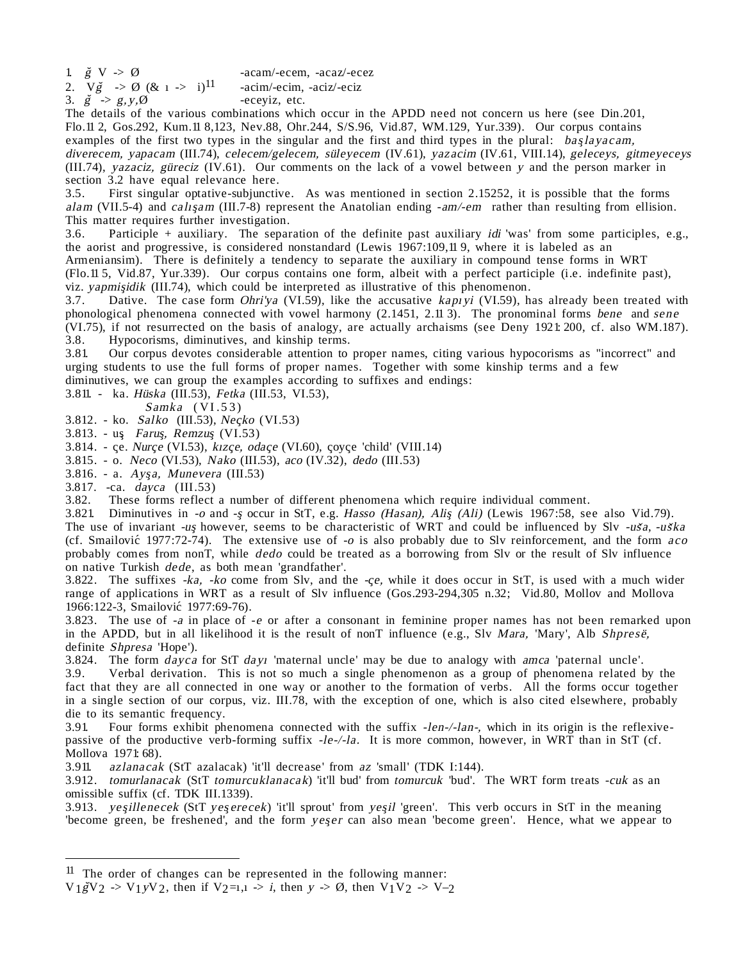2.  $V\check{g} \rightarrow \emptyset$  (& 1 -> i)<sup>11</sup> -acim/-ecim, -aciz/-eciz

3.  $\breve{g} \Rightarrow g, y, \emptyset$  -eceyiz, etc.

The details of the various combinations which occur in the APDD need not concern us here (see Din.201, Flo.11 2, Gos.292, Kum.11 8,123, Nev.88, Ohr.244, S/S.96, Vid.87, WM.129, Yur.339). Our corpus contains examples of the first two types in the singular and the first and third types in the plural: bas $\ell$ layacam, diverecem, yapacam (III.74), celecem/gelecem, süleyecem (IV.61), yazacim (IV.61, VIII.14), geleceys, gitmeyeceys (III.74), yazaciz, güreciz (IV.61). Our comments on the lack of a vowel between y and the person marker in section 3.2 have equal relevance here.<br>3.5. First singular optative-subjunctive

First singular optative-subjunctive. As was mentioned in section 2.15252, it is possible that the forms alam (VII.5-4) and caligam (III.7-8) represent the Anatolian ending  $-am/cem$  rather than resulting from ellision. This matter requires further investigation.

3.6. Participle + auxiliary. The separation of the definite past auxiliary idi 'was' from some participles, e.g., the aorist and progressive, is considered nonstandard (Lewis 1967:109,11 9, where it is labeled as an Armeniansim). There is definitely a tendency to separate the auxiliary in compound tense forms in WRT (Flo.11 5, Vid.87, Yur.339). Our corpus contains one form, albeit with a perfect participle (i.e. indefinite past),

viz. *yapmisidik* (III.74), which could be interpreted as illustrative of this phenomenon.

3.7. Dative. The case form *Ohri'ya* (VI.59), like the accusative kapivi (VI.59), has already been treated with phonological phenomena connected with vowel harmony (2.1451, 2.11 3). The pronominal forms bene and sene (VI.75), if not resurrected on the basis of analogy, are actually archaisms (see Deny 1921: 200, cf. also WM.187). 3.8. Hypocorisms, diminutives, and kinship terms.<br>3.81 Our corpus devotes considerable attention to

3.81. Our corpus devotes considerable attention to proper names, citing various hypocorisms as "incorrect" and urging students to use the full forms of proper names. Together with some kinship terms and a few

diminutives, we can group the examples according to suffixes and endings:

3.811. - ka. Hüska (III.53), Fetka (III.53, VI.53),

Samka (VI.53)

3.812. - ko. Salko (III.53), Neçko (VI.53)

3.813. - us¸. Farus¸, Remzus¸ (VI.53)

3.814. - çe. Nurçe (VI.53), kızçe, odaçe (VI.60), çoyçe 'child' (VIII.14)

3.815. - o. Neco (VI.53), Nako (III.53), aco (IV.32), dedo (III.53)

 $3.816.$  - a. Ayşa, Munevera (III.53)

3.817. -ca. dayca (III.53)

3.82. These forms reflect a number of different phenomena which require individual comment.

3.821. Diminutives in -o and -s occur in StT, e.g. Hasso (Hasan), Alis (Ali) (Lewis 1967:58, see also Vid.79). The use of invariant -us however, seems to be characteristic of WRT and could be influenced by Slv -uša, -uška (cf. Smailovic 1977:72-74). The extensive use of  $-o$  is also probably due to Slv reinforcement, and the form  $aco$ probably comes from nonT, while dedo could be treated as a borrowing from Slv or the result of Slv influence on native Turkish dede, as both mean 'grandfather'.

3.822. The suffixes  $-ka$ ,  $-ko$  come from Slv, and the  $-ce$ , while it does occur in StT, is used with a much wider range of applications in WRT as a result of Slv influence (Gos.293-294,305 n.32; Vid.80, Mollov and Mollova 1966:122-3, Smailovic´ 1977:69-76).

3.823. The use of -<sup>a</sup> in place of -<sup>e</sup> or after a consonant in feminine proper names has not been remarked upon in the APDD, but in all likelihood it is the result of nonT influence (e.g., Slv Mara, 'Mary', Alb Shpresë, definite Shpresa 'Hope').

3.824. The form *dayca* for StT *dayr* 'maternal uncle' may be due to analogy with *amca* 'paternal uncle'.<br>3.9. Verbal derivation. This is not so much a single phenomenon as a group of phenomena related b

Verbal derivation. This is not so much a single phenomenon as a group of phenomena related by the fact that they are all connected in one way or another to the formation of verbs. All the forms occur together in a single section of our corpus, viz. III.78, with the exception of one, which is also cited elsewhere, probably die to its semantic frequency.

3.91. Four forms exhibit phenomena connected with the suffix -len-/-lan-, which in its origin is the reflexivepassive of the productive verb-forming suffix -le-/-la. It is more common, however, in WRT than in StT (cf. Mollova 1971: 68).

3.911. azlanacak (StT azalacak) 'it'll decrease' from az 'small' (TDK I:144).

3.912. tomurlanacak (StT tomurcuklanacak) 'it'll bud' from tomurcuk 'bud'. The WRT form treats -cuk as an omissible suffix (cf. TDK III.1339).

3.913. yesillenecek (StT yeserecek) 'it'll sprout' from yesil 'green'. This verb occurs in StT in the meaning 'become green, be freshened', and the form yeger can also mean 'become green'. Hence, what we appear to

 $11$  The order of changes can be represented in the following manner:

 $V_1 \cancel{g} V_2$  ->  $V_1 y V_2$ , then if  $V_2 = 1,1 \rightarrow i$ , then  $y \rightarrow \emptyset$ , then  $V_1 V_2 \rightarrow V_2$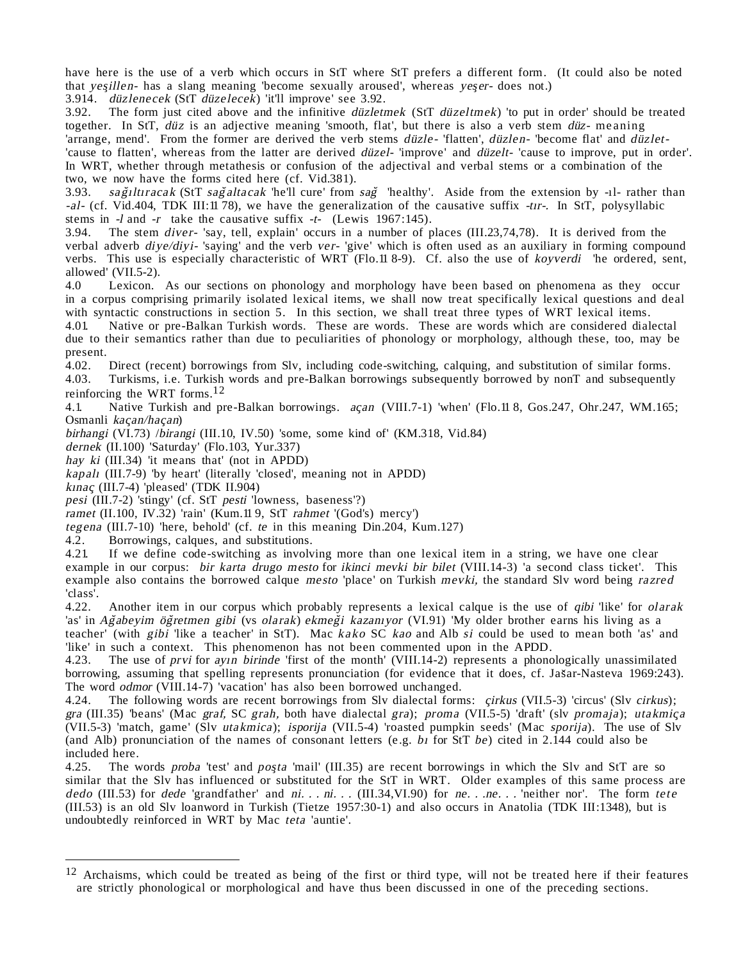have here is the use of a verb which occurs in StT where StT prefers a different form. (It could also be noted that yesillen- has a slang meaning 'become sexually aroused', whereas yeser- does not.)

3.914. düzlenecek (StT düzelecek) 'it'll improve' see 3.92.

3.92. The form just cited above and the infinitive düzletmek (StT düzeltmek) 'to put in order' should be treated together. In StT, düz is an adjective meaning 'smooth, flat', but there is also a verb stem düz- meaning 'arrange, mend'. From the former are derived the verb stems düzle- 'flatten', düzlen- 'become flat' and düzlet-'cause to flatten', whereas from the latter are derived düzel- 'improve' and düzelt- 'cause to improve, put in order'. In WRT, whether through metathesis or confusion of the adjectival and verbal stems or a combination of the two, we now have the forms cited here (cf. Vid.381).

3.93. sağıltıracak (StT sağaltacak 'he'll cure' from sağ 'healthy'. Aside from the extension by -1l- rather than -al- (cf. Vid.404, TDK III:11 78), we have the generalization of the causative suffix -trr-. In StT, polysyllabic stems in  $-1$  and  $-r$  take the causative suffix  $-t-$  (Lewis 1967:145).<br>3.94. The stem *diver*-'say, tell, explain' occurs in a number of p

The stem diver- 'say, tell, explain' occurs in a number of places (III.23,74,78). It is derived from the verbal adverb *diye/diyi*- 'saying' and the verb ver- 'give' which is often used as an auxiliary in forming compound verbs. This use is especially characteristic of WRT (Flo.11 8-9). Cf. also the use of koyverdi 'he ordered, sent, allowed' (VII.5-2).<br>4.0 Lexicon.

Lexicon. As our sections on phonology and morphology have been based on phenomena as they occur in a corpus comprising primarily isolated lexical items, we shall now treat specifically lexical questions and deal with syntactic constructions in section 5. In this section, we shall treat three types of WRT lexical items.

4.01. Native or pre-Balkan Turkish words. These are words. These are words which are considered dialectal due to their semantics rather than due to peculiarities of phonology or morphology, although these, too, may be present.<br>4.02.

4.02. Direct (recent) borrowings from Slv, including code-switching, calquing, and substitution of similar forms.<br>4.03. Turkisms, i.e. Turkish words and pre-Balkan borrowings subsequently borrowed by nonT and subsequently

Turkisms, i.e. Turkish words and pre-Balkan borrowings subsequently borrowed by nonT and subsequently reinforcing the WRT forms. 12

4.1. Native Turkish and pre-Balkan borrowings. acan (VIII.7-1) 'when' (Flo.11 8, Gos.247, Ohr.247, WM.165; Osmanli kaçan/haçan)

birhangi (VI.73) /birangi (III.10, IV.50) 'some, some kind of' (KM.318, Vid.84)

dernek (II.100) 'Saturday' (Flo.103, Yur.337)

hay ki (III.34) 'it means that' (not in APDD)

kapalı (III.7-9) 'by heart' (literally 'closed', meaning not in APDD)

kınaç (III.7-4) 'pleased' (TDK II.904)

pesi (III.7-2) 'stingy' (cf. StT pesti 'lowness, baseness'?)

ramet (II.100, IV.32) 'rain' (Kum.11 9, StT rahmet '(God's) mercy')

tegena (III.7-10) 'here, behold' (cf. te in this meaning Din.204, Kum.127)

4.2. Borrowings, calques, and substitutions.<br>4.21. If we define code-switching as involv

If we define code-switching as involving more than one lexical item in a string, we have one clear example in our corpus: bir karta drugo mesto for ikinci mevki bir bilet (VIII.14-3) 'a second class ticket'. This example also contains the borrowed calque mesto 'place' on Turkish mevki, the standard Slv word being razred 'class'.<br>4.22.

Another item in our corpus which probably represents a lexical calque is the use of qibi 'like' for *olarak* 'as' in Ağabeyim öğretmen gibi (vs olarak) ekmeği kazanıyor (VI.91) 'My older brother earns his living as a teacher' (with gibi 'like a teacher' in StT). Mac kako SC kao and Alb si could be used to mean both 'as' and 'like' in such a context. This phenomenon has not been commented upon in the APDD.

4.23. The use of prvi for ayın birinde 'first of the month' (VIII.14-2) represents a phonologically unassimilated borrowing, assuming that spelling represents pronunciation (for evidence that it does, cf. Jas ar-Nasteva 1969:243). The word odmor (VIII.14-7) 'vacation' has also been borrowed unchanged.

4.24. The following words are recent borrowings from Slv dialectal forms: *cirkus* (VII.5-3) 'circus' (Slv *cirkus*); gra (III.35) 'beans' (Mac graf, SC grah, both have dialectal gra); proma (VII.5-5) 'draft' (slv promaja); utakmica (VII.5-3) 'match, game' (Slv utakmica); isporija (VII.5-4) 'roasted pumpkin seeds' (Mac sporija). The use of Slv (and Alb) pronunciation of the names of consonant letters (e.g. bi for StT be) cited in 2.144 could also be included here.

4.25. The words proba 'test' and posta 'mail' (III.35) are recent borrowings in which the Slv and StT are so similar that the Slv has influenced or substituted for the StT in WRT. Older examples of this same process are dedo (III.53) for dede 'grandfather' and ni. . . ni. . . (III.34, VI.90) for ne. . .ne. . . 'neither nor'. The form tete (III.53) is an old Slv loanword in Turkish (Tietze 1957:30-1) and also occurs in Anatolia (TDK III:1348), but is undoubtedly reinforced in WRT by Mac teta 'auntie'.

 $12$  Archaisms, which could be treated as being of the first or third type, will not be treated here if their features are strictly phonological or morphological and have thus been discussed in one of the preceding sections.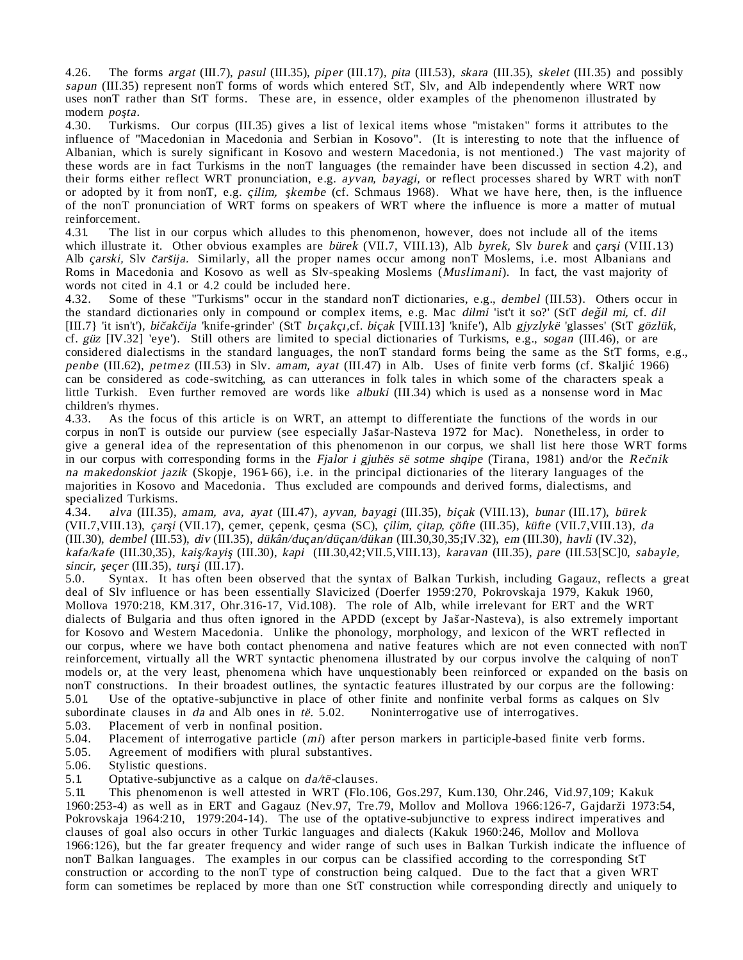4.26. The forms argat (III.7), pasul (III.35), piper (III.17), pita (III.53), skara (III.35), skelet (III.35) and possibly sapun (III.35) represent nonT forms of words which entered StT, Slv, and Alb independently where WRT now uses nonT rather than StT forms. These are, in essence, older examples of the phenomenon illustrated by modern posta.

4.30. Turkisms. Our corpus (III.35) gives a list of lexical items whose "mistaken" forms it attributes to the influence of "Macedonian in Macedonia and Serbian in Kosovo". (It is interesting to note that the influence of Albanian, which is surely significant in Kosovo and western Macedonia, is not mentioned.) The vast majority of these words are in fact Turkisms in the nonT languages (the remainder have been discussed in section 4.2), and their forms either reflect WRT pronunciation, e.g. ayvan, bayagi, or reflect processes shared by WRT with nonT or adopted by it from nonT, e.g. *çilim, şkembe* (cf. Schmaus 1968). What we have here, then, is the influence of the nonT pronunciation of WRT forms on speakers of WRT where the influence is more a matter of mutual reinforcement.

4.31. The list in our corpus which alludes to this phenomenon, however, does not include all of the items which illustrate it. Other obvious examples are bürek (VII.7, VIII.13), Alb byrek, Slv burek and carsi (VIII.13) Alb *çarski*, Slv *čaršija*. Similarly, all the proper names occur among nonT Moslems, i.e. most Albanians and Roms in Macedonia and Kosovo as well as Slv-speaking Moslems (Muslimani). In fact, the vast majority of words not cited in 4.1 or 4.2 could be included here.<br>4.32. Some of these "Turkisms" occur in the stand:

Some of these "Turkisms" occur in the standard nonT dictionaries, e.g., dembel (III.53). Others occur in the standard dictionaries only in compound or complex items, e.g. Mac dilmi 'ist't it so?' (StT değil mi, cf. dil akce standard dietomaries omy in compound or complex rems, e.g. ridd dinni fort it so. (StT degn nn, er. dir<br>[III.7] 'it isn't'), bičakčija 'knife-grinder' (StT biçakçı,cf. biçak [VIII.13] 'knife'), Alb gjyzlykë 'glasses' cf. güz [IV.32] 'eye'). Still others are limited to special dictionaries of Turkisms, e.g., sogan (III.46), or are considered dialectisms in the standard languages, the nonT standard forms being the same as the StT forms, e.g., ˆ penbe (III.62), petmez (III.53) in Slv. amam, ayat (III.47) in Alb. Uses of finite verb forms (cf. Skaljić 1966) can be considered as code-switching, as can utterances in folk tales in which some of the characters speak a little Turkish. Even further removed are words like albuki (III.34) which is used as a nonsense word in Mac children's rhymes.<br>4.33. As the fo

4.33. As the focus of this article is on WRT, an attempt to differentiate the functions of the words in our ˆ corpus in nonT is outside our purview (see especially Jas ar-Nasteva 1972 for Mac). Nonetheless, in order to give a general idea of the representation of this phenomenon in our corpus, we shall list here those WRT forms in our corpus with corresponding forms in the Fjalor *i gjuhës së sotme shqipe* (Tirana, 1981) and/or the Rečnik na makedonskiot jazik (Skopje, 1961- 66), i.e. in the principal dictionaries of the literary languages of the majorities in Kosovo and Macedonia. Thus excluded are compounds and derived forms, dialectisms, and specialized Turkisms.

4.34. alva (III.35), amam, ava, ayat (III.47), ayvan, bayagi (III.35), bicak (VIII.13), bunar (III.17), bürek (VII.7,VIII.13), çarşi (VII.17), çemer, çepenk, çesma (SC), çilim, çitap, çöfte (III.35), küfte (VII.7,VIII.13), da (III.30), dembel (III.53), div (III.35), dükân/duc¸an/düc¸an/dükan (III.30,30,35;IV.32), em (III.30), havli (IV.32), kafa/kafe (III.30,35), kais¸/kayis¸ (III.30), kapi (III.30,42;VII.5,VIII.13), karavan (III.35), pare (III.53[SC]0, sabayle, sincir, şeçer (III.35), turşi (III.17).<br>5.0. Syntax. It has often bee

Syntax. It has often been observed that the syntax of Balkan Turkish, including Gagauz, reflects a great deal of Slv influence or has been essentially Slavicized (Doerfer 1959:270, Pokrovskaja 1979, Kakuk 1960, Mollova 1970:218, KM.317, Ohr.316-17, Vid.108). The role of Alb, while irrelevant for ERT and the WRT dialects of Bulgaria and thus often ignored in the APDD (except by Jas ar-Nasteva), is also extremely important for Kosovo and Western Macedonia. Unlike the phonology, morphology, and lexicon of the WRT reflected in our corpus, where we have both contact phenomena and native features which are not even connected with nonT reinforcement, virtually all the WRT syntactic phenomena illustrated by our corpus involve the calquing of nonT models or, at the very least, phenomena which have unquestionably been reinforced or expanded on the basis on nonT constructions. In their broadest outlines, the syntactic features illustrated by our corpus are the following:<br>5.01. Use of the optative-subjunctive in place of other finite and nonfinite verbal forms as calques on Sl Use of the optative-subjunctive in place of other finite and nonfinite verbal forms as calques on Slv subordinate clauses in da and Alb ones in të. 5.02. Noninterrogative use of interrogatives.

5.03. Placement of verb in nonfinal position.<br>5.04. Placement of interrogative particle (*mi*)

5.04. Placement of interrogative particle  $(mi)$  after person markers in participle-based finite verb forms.<br>5.05. Agreement of modifiers with plural substantives.

5.05. Agreement of modifiers with plural substantives.<br>5.06. Stylistic questions.

5.06. Stylistic questions.<br>5.1. Optative-subjunctive

Optative-subjunctive as a calque on  $da/t\ddot{e}$ -clauses.

5.11. This phenomenon is well attested in WRT (Flo.106, Gos.297, Kum.130, Ohr.246, Vid.97,109; Kakuk ˆ 1960:253-4) as well as in ERT and Gagauz (Nev.97, Tre.79, Mollov and Mollova 1966:126-7, Gajdarz i 1973:54, Pokrovskaja 1964:210, 1979:204-14). The use of the optative-subjunctive to express indirect imperatives and clauses of goal also occurs in other Turkic languages and dialects (Kakuk 1960:246, Mollov and Mollova 1966:126), but the far greater frequency and wider range of such uses in Balkan Turkish indicate the influence of nonT Balkan languages. The examples in our corpus can be classified according to the corresponding StT construction or according to the nonT type of construction being calqued. Due to the fact that a given WRT form can sometimes be replaced by more than one StT construction while corresponding directly and uniquely to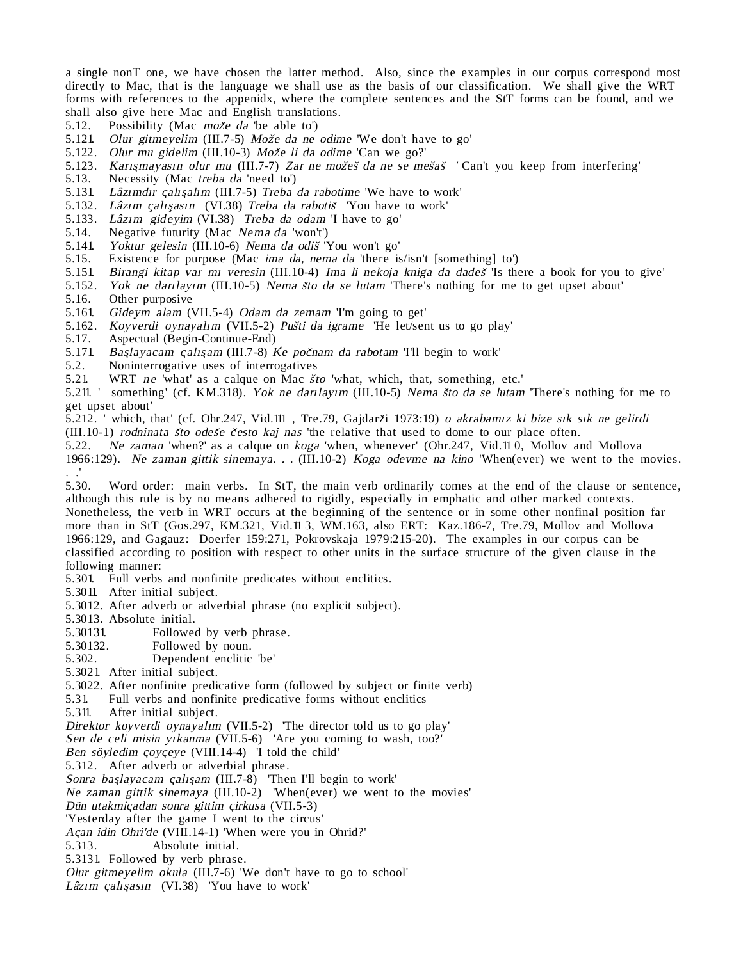a single nonT one, we have chosen the latter method. Also, since the examples in our corpus correspond most directly to Mac, that is the language we shall use as the basis of our classification. We shall give the WRT forms with references to the appenidx, where the complete sentences and the StT forms can be found, and we shall also give here Mac and English translations.

- 5.12. Possibility (Mac može da 'be able to')
- 5.121. Olur gitmeyelim (III.7-5) Može da ne odime 'We don't have to go'
- $5.122.$  Olur mu gidelim (III.10-3) Može li da odime 'Can we go?'
- 5.123. Sharma gheenn (introis) moze n'ea sanne san ne go.<br>5.123. Karişmayasın olur mu (III.7-7) Zar ne možeš da ne se mešaš 'Can't you keep from interfering'
- 5.13. Necessity (Mac treba da 'need to')<br>5.131. Lâzimdir calisalim (III.7-5) Treba
- Lâzımdır çalışalım (III.7-5) Treba da rabotime 'We have to work'
- 5.132. Lâzιm çalışasın (VI.38) Treba da rabotis 'You have to work'
- 5.133. Lâzım gideyim (VI.38) Treba da odam 'I have to go'
- 5.14. Negative futurity (Mac Nema da 'won't')
- 5.141. Yoktur gelesin (III.10-6) Nema da odis ˆ 'You won't go'
- 5.15. Existence for purpose (Mac ima da, nema da 'there is/isn't [something] to')
- 5.151. Birangi kitap var mπ veresin (III.10-4) Ima li nekoja kniga da dades ˆ 'Is there a book for you to give'

5.152. Yok ne darlayim (III.10-5) Nema što da se lutam 'There's nothing for me to get upset about'

- 5.16. Other purposive
- 5.161. Gideym alam (VII.5-4) Odam da zemam 'I'm going to get'
- 5.162. Koyverdi oynayalπm (VII.5-2) Pus ˆ ti da igrame 'He let/sent us to go play'
- 5.17. Aspectual (Begin-Continue-End)
- 5.171. Başlayacam çalışam (III.7-8) Ke počnam da rabotam 'I'll begin to work'
- 5.2. Noninterrogative uses of interrogatives 5.21. WRT *ne* 'what' as a calque on Mac  $\dot{s}t$
- 5.21. WRT ne 'what' as a calque on Mac *što* 'what, which, that, something, etc.'

5.211. 'We will be what as a card of the secondary when, then, something, etc.<br>5.211. ' something' (cf. KM.318). Yok ne darrlaym (III.10-5) Nema sto da se lutam 'There's nothing for me to get upset about'

5.212. ' which, that' (cf. Ohr.247, Vid.111, Tre.79, Gajdarži 1973:19) o akrabamız ki bize sık sık ne gelirdi

(III.10-1) rodninata što odeše često kaj nas 'the relative that used to dome to our place often.

5.22. Ne zaman 'when?' as a calque on koga 'when, whenever' (Ohr.247, Vid.11 0, Mollov and Mollova

1966:129). Ne zaman gittik sinemaya. . . (III.10-2) Koga odevme na kino 'When(ever) we went to the movies. . .'

5.30. Word order: main verbs. In StT, the main verb ordinarily comes at the end of the clause or sentence, although this rule is by no means adhered to rigidly, especially in emphatic and other marked contexts. Nonetheless, the verb in WRT occurs at the beginning of the sentence or in some other nonfinal position far more than in StT (Gos.297, KM.321, Vid.11 3, WM.163, also ERT: Kaz.186-7, Tre.79, Mollov and Mollova 1966:129, and Gagauz: Doerfer 159:271, Pokrovskaja 1979:215-20). The examples in our corpus can be classified according to position with respect to other units in the surface structure of the given clause in the following manner:

5.301. Full verbs and nonfinite predicates without enclitics.

- 5.3011. After initial subject.
- 5.3012. After adverb or adverbial phrase (no explicit subject).

5.3013. Absolute initial.

- 5.30131. Followed by verb phrase.
- 5.30132. Followed by noun.<br>5.302. Dependent enclitic
- Dependent enclitic 'be'
- 5.3021. After initial subject.
- 5.3022. After nonfinite predicative form (followed by subject or finite verb)<br>5.31 Full verbs and nonfinite predicative forms without enclitics
- 5.31. Full verbs and nonfinite predicative forms without enclitics
- 5.311. After initial subject.

Direktor koyverdi oynayalım (VII.5-2) 'The director told us to go play'

Sen de celi misin yikanma (VII.5-6) 'Are you coming to wash, too?'

Ben söyledim çoyçeye (VIII.14-4) 'I told the child'

5.312. After adverb or adverbial phrase.

Sonra başlayacam çalışam (III.7-8) 'Then I'll begin to work'

Ne zaman gittik sinemaya (III.10-2) 'When(ever) we went to the movies'

Dün utakmiçadan sonra gittim çirkusa (VII.5-3)

'Yesterday after the game I went to the circus'

Açan idin Ohri'de (VIII.14-1) 'When were you in Ohrid?'

5.313. Absolute initial.

5.3131. Followed by verb phrase.

Olur gitmeyelim okula (III.7-6) 'We don't have to go to school'

Lâzım çalışasın (VI.38) 'You have to work'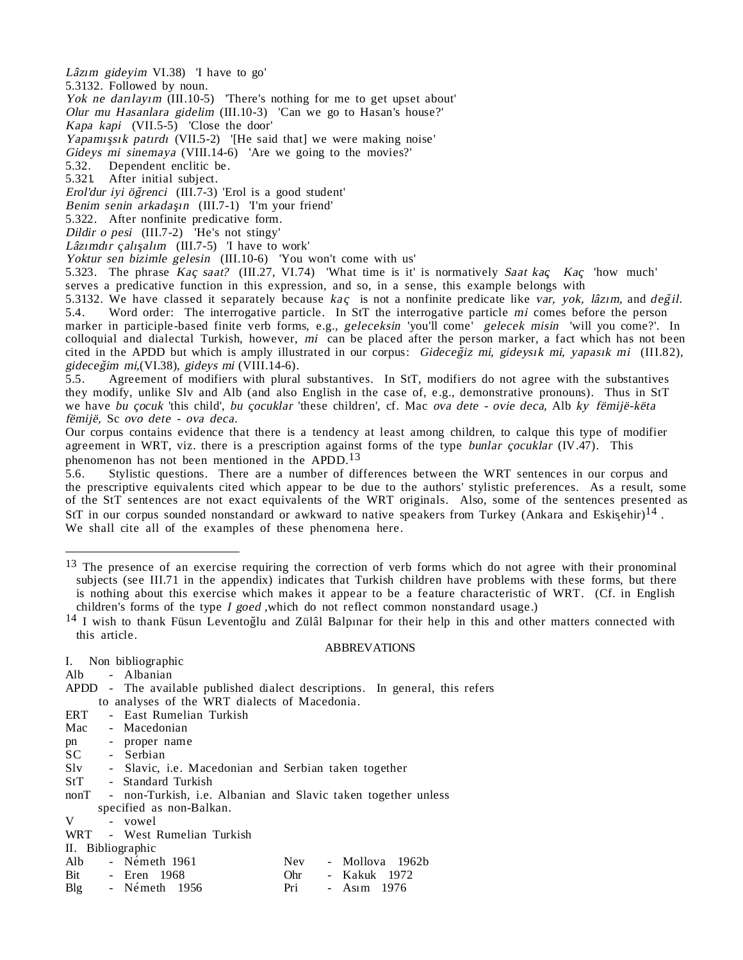Lâzım gideyim VI.38) 'I have to go'

5.3132. Followed by noun.

Yok ne darrlay  $(III.10-5)$  'There's nothing for me to get upset about'

Olur mu Hasanlara gidelim (III.10-3) 'Can we go to Hasan's house?'

Kapa kapi (VII.5-5) 'Close the door'

Yapamışsık patırdı (VII.5-2) '[He said that] we were making noise'

Gideys mi sinemaya (VIII.14-6) 'Are we going to the movies?'

5.32. Dependent enclitic be.

5.321. After initial subject.

Erol'dur iyi öğrenci (III.7-3) 'Erol is a good student'

Benim senin arkadaşın (III.7-1) 'I'm your friend'

5.322. After nonfinite predicative form.

Dildir o pesi (III.7-2) 'He's not stingy'

Lâzımdır çalışalım (III.7-5) 'I have to work'

Yoktur sen bizimle gelesin (III.10-6) 'You won't come with us'

5.323. The phrase Kac saat? (III.27, VI.74) 'What time is it' is normatively Saat kac Kac, 'how much' serves a predicative function in this expression, and so, in a sense, this example belongs with

5.3132. We have classed it separately because kac is not a nonfinite predicate like var, yok, lâzım, and değil.<br>5.4. Word order: The interrogative particle. In StT the interrogative particle mi comes before the person Word order: The interrogative particle. In StT the interrogative particle mi comes before the person marker in participle-based finite verb forms, e.g., geleceksin 'you'll come' gelecek misin 'will you come?'. In colloquial and dialectal Turkish, however, mi can be placed after the person marker, a fact which has not been cited in the APDD but which is amply illustrated in our corpus: Gideceğiz mi, gideysik mi, yapasık mi (III.82), gideceğim mi, (VI.38), gideys mi (VIII.14-6).<br>5.5. Agreement of modifiers with plural

Agreement of modifiers with plural substantives. In StT, modifiers do not agree with the substantives they modify, unlike Slv and Alb (and also English in the case of, e.g., demonstrative pronouns). Thus in StT we have bu çocuk 'this child', bu çocuklar 'these children', cf. Mac ova dete - ovie deca, Alb ky fëmijë-këta fëmijë, Sc ovo dete - ova deca.

Our corpus contains evidence that there is a tendency at least among children, to calque this type of modifier agreement in WRT, viz. there is a prescription against forms of the type bunlar cocuklar (IV.47). This phenomenon has not been mentioned in the APDD.<sup>13</sup>

5.6. Stylistic questions. There are a number of differences between the WRT sentences in our corpus and the prescriptive equivalents cited which appear to be due to the authors' stylistic preferences. As a result, some of the StT sentences are not exact equivalents of the WRT originals. Also, some of the sentences presented as StT in our corpus sounded nonstandard or awkward to native speakers from Turkey (Ankara and Eskisehir)<sup>14</sup>. We shall cite all of the examples of these phenomena here.

### ABBREVATIONS

|     | I. Non bibliographic                                                         |     |                 |  |
|-----|------------------------------------------------------------------------------|-----|-----------------|--|
| Alb | - Albanian                                                                   |     |                 |  |
|     | APDD - The available published dialect descriptions. In general, this refers |     |                 |  |
|     | to analyses of the WRT dialects of Macedonia.                                |     |                 |  |
| ERT | - East Rumelian Turkish                                                      |     |                 |  |
|     | Mac - Macedonian                                                             |     |                 |  |
|     | pn - proper name                                                             |     |                 |  |
|     | SC - Serbian                                                                 |     |                 |  |
|     | Slv - Slavic, i.e. Macedonian and Serbian taken together                     |     |                 |  |
|     | StT - Standard Turkish                                                       |     |                 |  |
|     | nonT - non-Turkish, i.e. Albanian and Slavic taken together unless           |     |                 |  |
|     | specified as non-Balkan.                                                     |     |                 |  |
| V   | - vowel                                                                      |     |                 |  |
|     | WRT - West Rumelian Turkish                                                  |     |                 |  |
|     | II. Bibliographic                                                            |     |                 |  |
| Alb | - Németh 1961                                                                | Nev | - Mollova 1962b |  |
|     | Bit - Eren 1968                                                              | Ohr | - Kakuk 1972    |  |
| Blg | - Németh 1956                                                                | Pri | - Asım 1976     |  |

<sup>&</sup>lt;sup>13</sup> The presence of an exercise requiring the correction of verb forms which do not agree with their pronominal subjects (see III.71 in the appendix) indicates that Turkish children have problems with these forms, but there is nothing about this exercise which makes it appear to be a feature characteristic of WRT. (Cf. in English children's forms of the type I goed ,which do not reflect common nonstandard usage.)

 $14$  I wish to thank Füsun Leventog`lu and Zülâl Balpinar for their help in this and other matters connected with this article.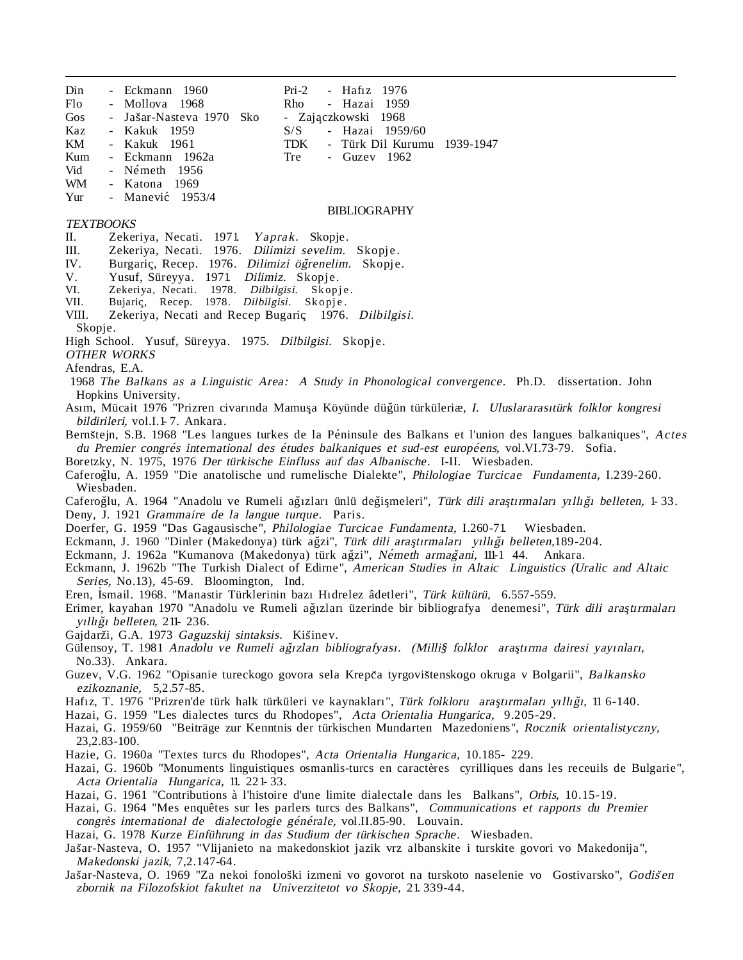- Din Eckmann 1960 Pri-2 Haf1z 1976 Flo - Mollova 1968 Rho - Hazai 1959 Gos - Jašar-Nasteva 1970 Sko Kaz - Kakuk 1959 S/S - Hazai 1959/60 KM - Kakuk 1961 TDK - Türk Dil Kurumu 1939-1947 Kum - Eckmann 1962a Tre - Guzev 1962 Vid - Németh 1956 WM - Katona 1969
- Yur Manevic´ 1953/4

#### BIBLIOGRAPHY

- Zajaczkowski 1968

## TEXTBOOKS

- II. Zekeriya, Necati. 1971. Yaprak. Skopje.
- III. Zekeriya, Necati. 1976. Dilimizi sevelim. Skopje.
- IV. Burgariç, Recep. 1976. Dilimizi öğrenelim. Skopje.<br>V. Yusuf, Sürevya. 1971. Dilimiz. Skopje.
- Yusuf, Süreyya. 1971. Dilimiz. Skopje.
- VI. Zekeriya, Necati. 1978. Dilbilgisi. Skopje.
- VII. Bujariç, Recep. 1978. Dilbilgisi. Skopje.<br>VIII. Zekeriva, Necati and Recep Bugariç 1976.
- Zekeriya, Necati and Recep Bugariç 1976. Dilbilgisi.
- Skopje.

High School. Yusuf, Süreyya. 1975. Dilbilgisi. Skopje.

OTHER WORKS

- Afendras, E.A.
- 1968 The Balkans as a Linguistic Area: A Study in Phonological convergence. Ph.D. dissertation. John Hopkins University.
- Asım, Mücait 1976 "Prizren civarında Mamuşa Köyünde düğün türküleriæ, I. Uluslararasıtürk folklor kongresi bildirileri, vol.I.1-7. Ankara.
- Bernštejn, S.B. 1968 "Les langues turkes de la Péninsule des Balkans et l'union des langues balkaniques", Actes du Premier congrés international des études balkaniques et sud-est européens, vol.VI.73-79. Sofia.
- Boretzky, N. 1975, 1976 Der türkische Einfluss auf das Albanische. I-II. Wiesbaden.
- Caferoğlu, A. 1959 "Die anatolische und rumelische Dialekte", *Philologiae Turcicae Fundamenta*, I.239-260. Wiesbaden.
- Caferoğlu, A. 1964 "Anadolu ve Rumeli ağızları ünlü değişmeleri", Türk dili araştırmaları yıllığı belleten, 1-33. Deny, J. 1921 Grammaire de la langue turque. Paris.
- Doerfer, G. 1959 "Das Gagausische", Philologiae Turcicae Fundamenta, I.260-71. Wiesbaden.
- Eckmann, J. 1960 "Dinler (Makedonya) türk ağzi", Türk dili araştırmaları yıllığı belleten,189-204.
- Eckmann, J. 1962a "Kumanova (Makedonya) türk ağzi", Németh armağani, 111-1 44. Ankara.
- Eckmann, J. 1962b "The Turkish Dialect of Edirne", American Studies in Altaic Linguistics (Uralic and Altaic Series, No.13), 45-69. Bloomington, Ind.
- Eren, İsmail. 1968. "Manastir Türklerinin bazı Hıdrelez âdetleri", Türk kültürü, 6.557-559.
- Erimer, kayahan 1970 "Anadolu ve Rumeli ağızları üzerinde bir bibliografya denemesi", Türk dili arastırmaları yıllığı belleten, 211-236.
- Gajdarži, G.A. 1973 *Gaguzskij sintaksis.* Kišinev.
- Gülensoy, T. 1981 Anadolu ve Rumeli ağızları bibliografyası. (Milli§ folklor araştırma dairesi yayınları, No.33). Ankara.
- Guzev, V.G. 1962 "Opisanie tureckogo govora sela Krepča tyrgovištenskogo okruga v Bolgarii", *Balkansko* ezikoznanie, 5,2.57-85.
- Hafız, T. 1976 "Prizren'de türk halk türküleri ve kaynakları", Türk folkloru araştırmaları yıllığı, 11 6-140.
- Hazai, G. 1959 "Les dialectes turcs du Rhodopes", Acta Orientalia Hungarica, 9.205-29.
- Hazai, G. 1959/60 "Beiträge zur Kenntnis der türkischen Mundarten Mazedoniens", Rocznik orientalistyczny, 23,2.83-100.
- Hazie, G. 1960a "Textes turcs du Rhodopes", Acta Orientalia Hungarica, 10.185- 229.
- Hazai, G. 1960b "Monuments linguistiques osmanlis-turcs en caractères cyrilliques dans les receuils de Bulgarie", Acta Orientalia Hungarica, 11. 221- 33.
- Hazai, G. 1961 "Contributions à l'histoire d'une limite dialectale dans les Balkans", Orbis, 10.15-19.
- Hazai, G. 1964 "Mes enquêtes sur les parlers turcs des Balkans", Communications et rapports du Premier congrès international de dialectologie générale, vol.II.85-90. Louvain.
- Hazai, G. 1978 Kurze Einführung in das Studium der türkischen Sprache. Wiesbaden.
- Jas ar-Nasteva, O. 1957 "Vlijanieto na makedonskiot jazik vrz albanskite i turskite govori vo Makedonija", Makedonski jazik, 7,2.147-64. ˆ
- Jašar-Nasteva, O. 1969 "Za nekoi fonološki izmeni vo govorot na turskoto naselenie vo Gostivarsko", Godišen zbornik na Filozofskiot fakultet na Univerzitetot vo Skopje, 21. 339-44.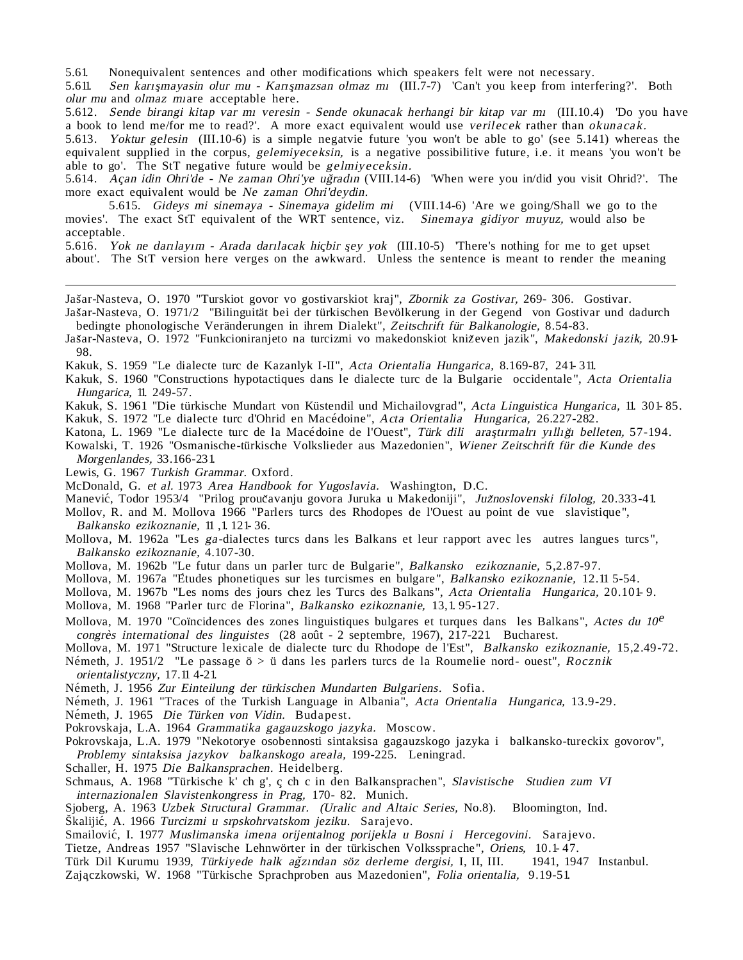5.61. Nonequivalent sentences and other modifications which speakers felt were not necessary.

5.611. Sen karnsmayasin olur mu - Karnsmazsan olmaz mi (III.7-7) 'Can't you keep from interfering?'. Both olur mu and olmaz miare acceptable here.

5.612. Sende birangi kitap var mī veresin - Sende okunacak herhangi bir kitap var mī (III.10.4) 'Do you have a book to lend me/for me to read?'. A more exact equivalent would use verilecek rather than okunacak.

5.613. Yoktur gelesin (III.10-6) is a simple negatvie future 'you won't be able to go' (see 5.141) whereas the equivalent supplied in the corpus, gelemiyeceksin, is a negative possibilitive future, i.e. it means 'you won't be able to go'. The StT negative future would be gelmiyeceksin.

5.614. Açan idin Ohri'de - Ne zaman Ohri'ye uğradın (VIII.14-6) 'When were you in/did you visit Ohrid?'. The more exact equivalent would be Ne zaman Ohri'deydin.

5.615. Gideys mi sinemaya - Sinemaya gidelim mi (VIII.14-6) 'Are we going/Shall we go to the movies'. The exact StT equivalent of the WRT sentence, viz. Sinemaya gidiyor muyuz, would also be acceptable.

5.616. Yok ne darılayım - Arada darılacak hiçbir şey yok (III.10-5) 'There's nothing for me to get upset about'. The StT version here verges on the awkward. Unless the sentence is meant to render the meaning

Jašar-Nasteva, O. 1970 "Turskiot govor vo gostivarskiot kraj", Zbornik za Gostivar, 269- 306. Gostivar.

Jas ar-Nasteva, O. 1971/2 "Bilinguität bei der türkischen Bevölkerung in der Gegend von Gostivar und dadurch bedingte phonologische Veränderungen in ihrem Dialekt", Zeitschrift für Balkanologie, 8.54-83.

Jašar-Nasteva, O. 1972 "Funkcioniranjeto na turcizmi vo makedonskiot kniževen jazik", *Makedonski jazik,* 20.91-98.

Kakuk, S. 1959 "Le dialecte turc de Kazanlyk I-II", Acta Orientalia Hungarica, 8.169-87, 241- 311.

Kakuk, S. 1960 "Constructions hypotactiques dans le dialecte turc de la Bulgarie occidentale", Acta Orientalia Hungarica, 11. 249-57.

Kakuk, S. 1961 "Die türkische Mundart von Küstendil und Michailovgrad", Acta Linguistica Hungarica, 11. 301- 85. Kakuk, S. 1972 "Le dialecte turc d'Ohrid en Macédoine", Acta Orientalia Hungarica, 26.227-282.

Katona, L. 1969 "Le dialecte turc de la Macédoine de l'Ouest", Türk dili araştırmalrı yıllığı belleten, 57-194.

Kowalski, T. 1926 "Osmanische-türkische Volkslieder aus Mazedonien", Wiener Zeitschrift für die Kunde des Morgenlandes, 33.166-231.

Lewis, G. 1967 Turkish Grammar. Oxford.

ˆ

McDonald, G. et al. 1973 Area Handbook for Yugoslavia. Washington, D.C.

Manević, Todor 1953/4 "Prilog proučavanju govora Juruka u Makedoniji", Južnoslovenski filolog, 20.333-41.

Mollov, R. and M. Mollova 1966 "Parlers turcs des Rhodopes de l'Ouest au point de vue slavistique", Balkansko ezikoznanie, 11 ,1. 121- 36.

Mollova, M. 1962a "Les ga-dialectes turcs dans les Balkans et leur rapport avec les autres langues turcs", Balkansko ezikoznanie, 4.107-30.

Mollova, M. 1962b "Le futur dans un parler turc de Bulgarie", Balkansko ezikoznanie, 5,2.87-97.

Mollova, M. 1967a "Etudes phonetiques sur les turcismes en bulgare", Balkansko ezikoznanie, 12.11 5-54.

Mollova, M. 1967b "Les noms des jours chez les Turcs des Balkans", Acta Orientalia Hungarica, 20.101- 9.

Mollova, M. 1968 "Parler turc de Florina", Balkansko ezikoznanie, 13,1. 95-127.

Mollova, M. 1970 "Coïncidences des zones linguistiques bulgares et turques dans les Balkans", Actes du 10<sup>e</sup> congrès international des linguistes (28 août - 2 septembre, 1967), 217-221. Bucharest.

Mollova, M. 1971 "Structure lexicale de dialecte turc du Rhodope de l'Est", Balkansko ezikoznanie, 15,2.49-72. Németh, J. 1951/2 "Le passage ö > ü dans les parlers turcs de la Roumelie nord- ouest", Rocznik

orientalistyczny, 17.11 4-21.

Németh, J. 1956 Zur Einteilung der türkischen Mundarten Bulgariens. Sofia.

Németh, J. 1961 "Traces of the Turkish Language in Albania", Acta Orientalia Hungarica, 13.9-29.

Németh, J. 1965 Die Türken von Vidin. Budapest.

Pokrovskaja, L.A. 1964 Grammatika gagauzskogo jazyka. Moscow.

Pokrovskaja, L.A. 1979 "Nekotorye osobennosti sintaksisa gagauzskogo jazyka i balkansko-tureckix govorov", Problemy sintaksisa jazykov balkanskogo areala, 199-225. Leningrad.

Schaller, H. 1975 Die Balkansprachen. Heidelberg.

Schmaus, A. 1968 "Türkische k' ch g', ç ch c in den Balkansprachen", Slavistische Studien zum VI internazionalen Slavistenkongress in Prag, 170- 82. Munich.

Sjoberg, A. 1963 Uzbek Structural Grammar. (Uralic and Altaic Series, No.8). Bloomington, Ind.

Škalijić, A. 1966 *Turcizmi u srpskohrvatskom jeziku*. Sarajevo.

Smailović, I. 1977 Muslimanska imena orijentalnog porijekla u Bosni i Hercegovini. Sarajevo.

Tietze, Andreas 1957 "Slavische Lehnwörter in der türkischen Volkssprache", Oriens, 10.1- 47.

Türk Dil Kurumu 1939, Türkiyede halk ağzından söz derleme dergisi, I, II, III. 1941, 1947 Instanbul. Zajączkowski, W. 1968 "Türkische Sprachproben aus Mazedonien", Folia orientalia, 9.19-51.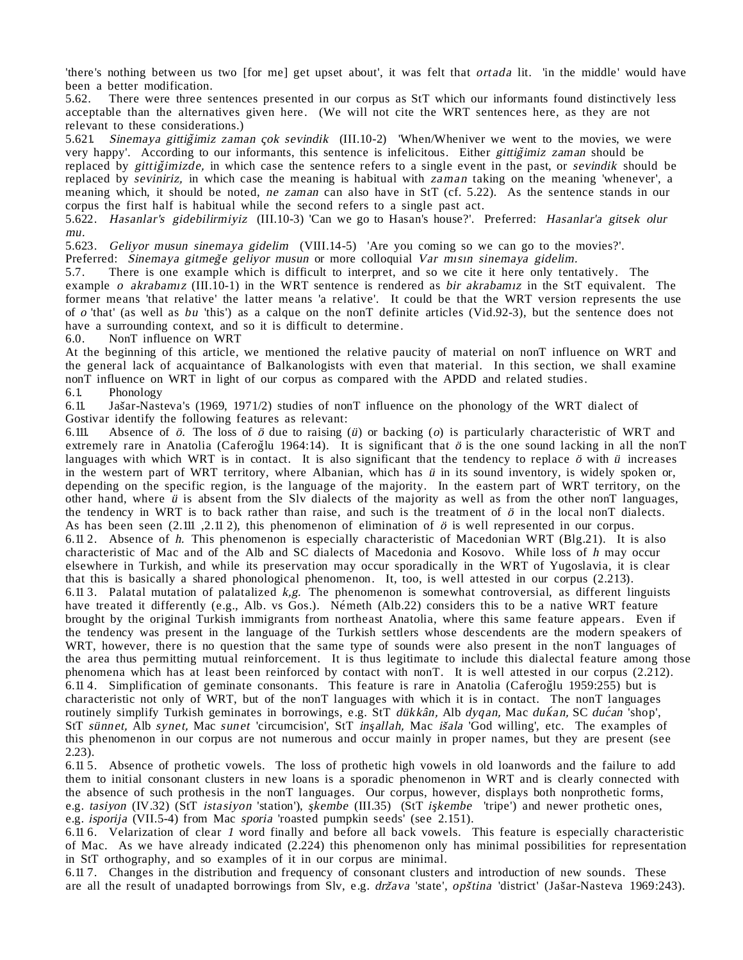'there's nothing between us two [for me] get upset about', it was felt that *ortada* lit. 'in the middle' would have been a better modification.

5.62. There were three sentences presented in our corpus as StT which our informants found distinctively less acceptable than the alternatives given here. (We will not cite the WRT sentences here, as they are not relevant to these considerations.)

5.621. Sinemaya gittiğimiz zaman çok sevindik (III.10-2) 'When/Wheniver we went to the movies, we were very happy'. According to our informants, this sentence is infelicitous. Either gittigimiz zaman should be replaced by *gittig*imizde, in which case the sentence refers to a single event in the past, or *sevindik* should be replaced by seviniriz, in which case the meaning is habitual with zaman taking on the meaning 'whenever', a meaning which, it should be noted, ne zaman can also have in StT (cf. 5.22). As the sentence stands in our corpus the first half is habitual while the second refers to a single past act.

5.622. Hasanlar's gidebilirmiyiz (III.10-3) 'Can we go to Hasan's house?'. Preferred: Hasanlar'a gitsek olur mu.

5.623. Geliyor musun sinemaya gidelim (VIII.14-5) 'Are you coming so we can go to the movies?'.

Preferred: Sinemaya gitmege geliyor musun or more colloquial Var misin sinemaya gidelim.

5.7. There is one example which is difficult to interpret, and so we cite it here only tentatively. The example o akrabamiz (III.10-1) in the WRT sentence is rendered as bir akrabamiz in the StT equivalent. The former means 'that relative' the latter means 'a relative'. It could be that the WRT version represents the use of o 'that' (as well as bu 'this') as a calque on the nonT definite articles (Vid.92-3), but the sentence does not have a surrounding context, and so it is difficult to determine.<br>6.0. NonT influence on WRT

NonT influence on WRT

At the beginning of this article, we mentioned the relative paucity of material on nonT influence on WRT and the general lack of acquaintance of Balkanologists with even that material. In this section, we shall examine nonT influence on WRT in light of our corpus as compared with the APDD and related studies.

6.1. Phonology ˆ

 $6.11.$ Jašar-Nasteva's (1969, 1971/2) studies of nonT influence on the phonology of the WRT dialect of Gostivar identify the following features as relevant:

6.111. Absence of  $\ddot{o}$ . The loss of  $\ddot{o}$  due to raising ( $\ddot{u}$ ) or backing ( $o$ ) is particularly characteristic of WRT and extremely rare in Anatolia (Caferoğlu 1964:14). It is significant that  $\ddot{o}$  is the one sound lacking in all the nonT languages with which WRT is in contact. It is also significant that the tendency to replace  $\ddot{o}$  with  $\ddot{u}$  increases in the western part of WRT territory, where Albanian, which has ü in its sound inventory, is widely spoken or, depending on the specific region, is the language of the majority. In the eastern part of WRT territory, on the other hand, where  $\ddot{u}$  is absent from the Slv dialects of the majority as well as from the other nonT languages, the tendency in WRT is to back rather than raise, and such is the treatment of  $\ddot{o}$  in the local nonT dialects. As has been seen  $(2.111, 2.11, 2)$ , this phenomenon of elimination of  $\ddot{o}$  is well represented in our corpus. 6.11 2. Absence of h. This phenomenon is especially characteristic of Macedonian WRT (Blg.21). It is also characteristic of Mac and of the Alb and SC dialects of Macedonia and Kosovo. While loss of h may occur elsewhere in Turkish, and while its preservation may occur sporadically in the WRT of Yugoslavia, it is clear that this is basically a shared phonological phenomenon. It, too, is well attested in our corpus (2.213). 6.11 3. Palatal mutation of palatalized  $k, g$ . The phenomenon is somewhat controversial, as different linguists have treated it differently (e.g., Alb. vs Gos.). Németh (Alb.22) considers this to be a native WRT feature brought by the original Turkish immigrants from northeast Anatolia, where this same feature appears. Even if the tendency was present in the language of the Turkish settlers whose descendents are the modern speakers of WRT, however, there is no question that the same type of sounds were also present in the nonT languages of the area thus permitting mutual reinforcement. It is thus legitimate to include this dialectal feature among those phenomena which has at least been reinforced by contact with nonT. It is well attested in our corpus (2.212). 6.11 4. Simplification of geminate consonants. This feature is rare in Anatolia (Caferoğlu 1959:255) but is characteristic not only of WRT, but of the nonT languages with which it is in contact. The nonT languages routinely simplify Turkish geminates in borrowings, e.g. StT dükkân, Alb dyqan, Mac dukan, SC dućan 'shop', StT sünnet, Alb synet, Mac sunet 'circumcision', StT insqllah, Mac isala 'God willing', etc. The examples of this phenomenon in our corpus are not numerous and occur mainly in proper names, but they are present (see 2.23).

6.11 5. Absence of prothetic vowels. The loss of prothetic high vowels in old loanwords and the failure to add them to initial consonant clusters in new loans is a sporadic phenomenon in WRT and is clearly connected with the absence of such prothesis in the nonT languages. Our corpus, however, displays both nonprothetic forms, e.g. tasiyon (IV.32) (StT istasiyon 'station'), skembe (III.35) (StT ishembe 'tripe') and newer prothetic ones, e.g. isporija (VII.5-4) from Mac sporia 'roasted pumpkin seeds' (see 2.151).

6.11 6. Velarization of clear 1 word finally and before all back vowels. This feature is especially characteristic of Mac. As we have already indicated (2.224) this phenomenon only has minimal possibilities for representation in StT orthography, and so examples of it in our corpus are minimal.

6.11 7. Changes in the distribution and frequency of consonant clusters and introduction of new sounds. These ˆ are all the result of unadapted borrowings from Slv, e.g. država 'state', *opština 'district'* (Jašar-Nasteva 1969:243).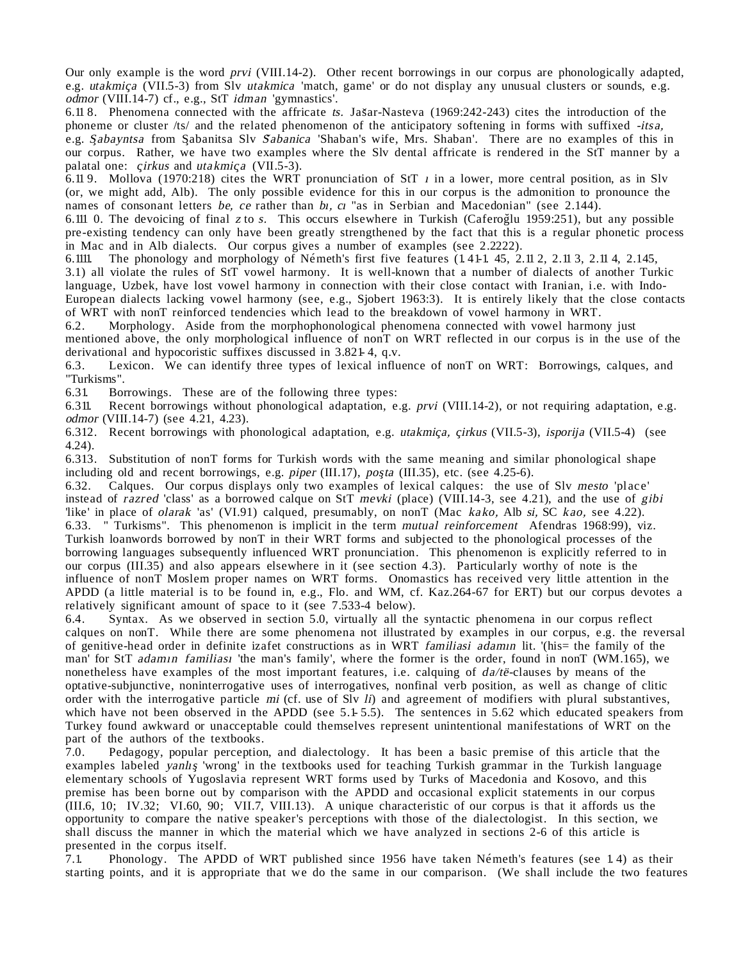Our only example is the word prvi (VIII.14-2). Other recent borrowings in our corpus are phonologically adapted, e.g. utakmica (VII.5-3) from Slv utakmica 'match, game' or do not display any unusual clusters or sounds, e.g. odmor (VIII.14-7) cf., e.g., StT idman 'gymnastics'.

6.11 8. Phenomena connected with the affricate ts. Jas ar-Nasteva (1969:242-243) cites the introduction of the phoneme or cluster /ts/ and the related phenomenon of the anticipatory softening in forms with suffixed -itsa, e.g. Sabayntsa from Sabanitsa Slv Sabanica 'Shaban's wife, Mrs. Shaban'. There are no examples of this in our corpus. Rather, we have two examples where the Slv dental affricate is rendered in the StT manner by a palatal one: *cirkus* and *utakmica* (VII.5-3).

6.11 9. Mollova (1970:218) cites the WRT pronunciation of StT  $\mu$  in a lower, more central position, as in Slv (or, we might add, Alb). The only possible evidence for this in our corpus is the admonition to pronounce the names of consonant letters be, ce rather than bi, ci "as in Serbian and Macedonian" (see 2.144).

6.111 0. The devoicing of final z to s. This occurs elsewhere in Turkish (CaferogTlu 1959:251), but any possible pre-existing tendency can only have been greatly strengthened by the fact that this is a regular phonetic process in Mac and in Alb dialects. Our corpus gives a number of examples (see 2.2222).<br>6.1111. The phonology and morphology of Németh's first five features (1.41-1.45, 2.

The phonology and morphology of Németh's first five features  $(1.41-1.45, 2.11 2, 2.11 3, 2.11 4, 2.145,$ 3.1) all violate the rules of StT vowel harmony. It is well-known that a number of dialects of another Turkic language, Uzbek, have lost vowel harmony in connection with their close contact with Iranian, i.e. with Indo-European dialects lacking vowel harmony (see, e.g., Sjobert 1963:3). It is entirely likely that the close contacts of WRT with nonT reinforced tendencies which lead to the breakdown of vowel harmony in WRT.

6.2. Morphology. Aside from the morphophonological phenomena connected with vowel harmony just mentioned above, the only morphological influence of nonT on WRT reflected in our corpus is in the use of the derivational and hypocoristic suffixes discussed in 3.821-4, q.v. 6.3. Lexicon. We can identify three types of lexical influe

Lexicon. We can identify three types of lexical influence of nonT on WRT: Borrowings, calques, and "Turkisms".

6.31. Borrowings. These are of the following three types:

6.311. Recent borrowings without phonological adaptation, e.g. prvi (VIII.14-2), or not requiring adaptation, e.g. odmor (VIII.14-7) (see 4.21, 4.23).

6.312. Recent borrowings with phonological adaptation, e.g. utakmica, cirkus (VII.5-3), isporija (VII.5-4) (see 4.24).

6.313. Substitution of nonT forms for Turkish words with the same meaning and similar phonological shape including old and recent borrowings, e.g. *piper* (III.17),  $poşta$  (III.35), etc. (see 4.25-6).

6.32. Calques. Our corpus displays only two examples of lexical calques: the use of Slv mesto 'place' instead of razred 'class' as a borrowed calque on StT mevki (place) (VIII.14-3, see 4.21), and the use of gibi 'like' in place of olarak 'as' (VI.91) calqued, presumably, on nonT (Mac kako, Alb si, SC kao, see 4.22). 6.33. " Turkisms". This phenomenon is implicit in the term mutual reinforcement Afendras 1968:99), viz. Turkish loanwords borrowed by nonT in their WRT forms and subjected to the phonological processes of the borrowing languages subsequently influenced WRT pronunciation. This phenomenon is explicitly referred to in our corpus (III.35) and also appears elsewhere in it (see section 4.3). Particularly worthy of note is the influence of nonT Moslem proper names on WRT forms. Onomastics has received very little attention in the APDD (a little material is to be found in, e.g., Flo. and WM, cf. Kaz.264-67 for ERT) but our corpus devotes a relatively significant amount of space to it (see 7.533-4 below).<br>6.4. Syntax. As we observed in section 5.0, virtually all the

Syntax. As we observed in section 5.0, virtually all the syntactic phenomena in our corpus reflect calques on nonT. While there are some phenomena not illustrated by examples in our corpus, e.g. the reversal of genitive-head order in definite izafet constructions as in WRT familiasi adamπn lit. '(his= the family of the man' for StT adamın familiası 'the man's family', where the former is the order, found in nonT (WM.165), we nonetheless have examples of the most important features, i.e. calquing of  $da/t\ddot{e}$ -clauses by means of the optative-subjunctive, noninterrogative uses of interrogatives, nonfinal verb position, as well as change of clitic order with the interrogative particle mi (cf. use of Slv  $I_i$ ) and agreement of modifiers with plural substantives, which have not been observed in the APDD (see 5.1-5.5). The sentences in 5.62 which educated speakers from Turkey found awkward or unacceptable could themselves represent unintentional manifestations of WRT on the part of the authors of the textbooks.

7.0. Pedagogy, popular perception, and dialectology. It has been a basic premise of this article that the examples labeled yanlış 'wrong' in the textbooks used for teaching Turkish grammar in the Turkish language elementary schools of Yugoslavia represent WRT forms used by Turks of Macedonia and Kosovo, and this premise has been borne out by comparison with the APDD and occasional explicit statements in our corpus (III.6, 10; IV.32; VI.60, 90; VII.7, VIII.13). A unique characteristic of our corpus is that it affords us the opportunity to compare the native speaker's perceptions with those of the dialectologist. In this section, we shall discuss the manner in which the material which we have analyzed in sections 2-6 of this article is presented in the corpus itself.<br>7.1. Phonology. The APD

Phonology. The APDD of WRT published since 1956 have taken Németh's features (see 1.4) as their starting points, and it is appropriate that we do the same in our comparison. (We shall include the two features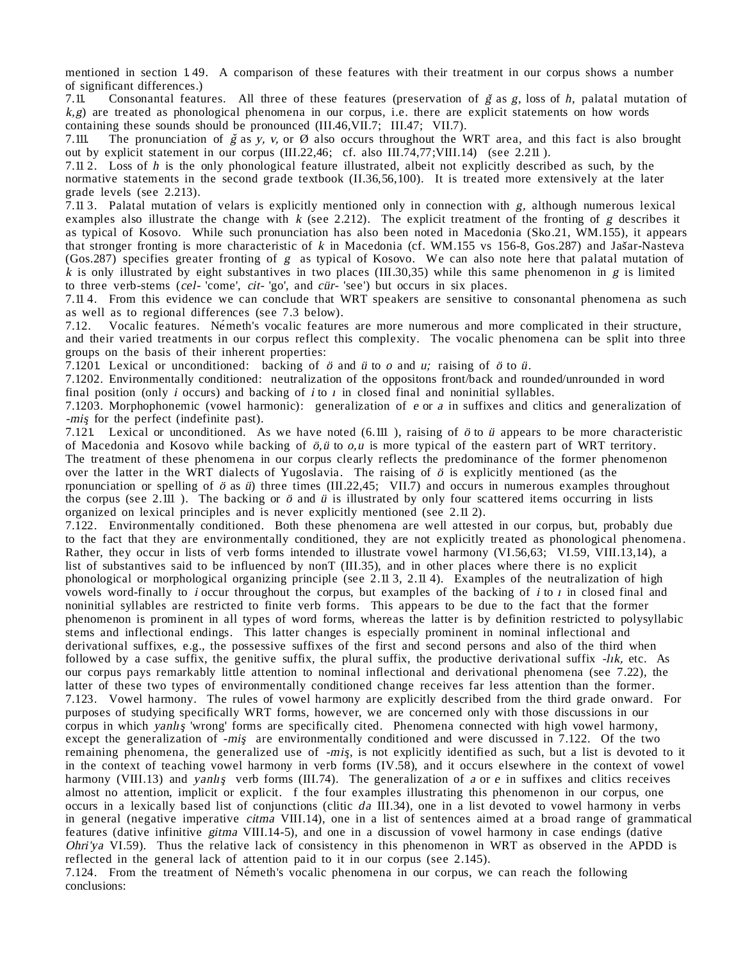mentioned in section 1. 49. A comparison of these features with their treatment in our corpus shows a number of significant differences.)<br>7.11. Consonantal featu

Consonantal features. All three of these features (preservation of  $\zeta$  as g, loss of h, palatal mutation of  $k, g$ ) are treated as phonological phenomena in our corpus, i.e. there are explicit statements on how words containing these sounds should be pronounced (III.46, VII.7; III.47; VII.7).<br>7.111. The pronunciation of  $\check{g}$  as v. v. or  $\check{Q}$  also occurs throughout the W

The pronunciation of  $\zeta$  as y, v, or Ø also occurs throughout the WRT area, and this fact is also brought out by explicit statement in our corpus (III.22,46; cf. also III.74,77;VIII.14) (see 2.211 ).

7.11 2. Loss of h is the only phonological feature illustrated, albeit not explicitly described as such, by the normative statements in the second grade textbook (II.36,56,100). It is treated more extensively at the later grade levels (see 2.213).

7.11 3. Palatal mutation of velars is explicitly mentioned only in connection with g, although numerous lexical examples also illustrate the change with  $k$  (see 2.212). The explicit treatment of the fronting of  $g$  describes it as typical of Kosovo. While such pronunciation has also been noted in Macedonia (Sko.21, WM.155), it appears ˆ that stronger fronting is more characteristic of  $k$  in Macedonia (cf. WM.155 vs 156-8, Gos.287) and Jašar-Nasteva (Gos.287) specifies greater fronting of g as typical of Kosovo. We can also note here that palatal mutation of k is only illustrated by eight substantives in two places (III.30,35) while this same phenomenon in g is limited to three verb-stems (cel- 'come', cit- 'go', and cür- 'see') but occurs in six places.

7.11 4. From this evidence we can conclude that WRT speakers are sensitive to consonantal phenomena as such as well as to regional differences (see 7.3 below).<br>7.12. Vocalic features. Németh's vocalic features

Vocalic features. Németh's vocalic features are more numerous and more complicated in their structure, and their varied treatments in our corpus reflect this complexity. The vocalic phenomena can be split into three groups on the basis of their inherent properties:

7.1201. Lexical or unconditioned: backing of  $\ddot{o}$  and  $\ddot{u}$  to  $o$  and  $u$ ; raising of  $\ddot{o}$  to  $\ddot{u}$ .

7.1202. Environmentally conditioned: neutralization of the oppositons front/back and rounded/unrounded in word final position (only *i* occurs) and backing of *i* to  $\iota$  in closed final and noninitial syllables.

7.1203. Morphophonemic (vowel harmonic): generalization of e or a in suffixes and clitics and generalization of -mis for the perfect (indefinite past).

7.121. Lexical or unconditioned. As we have noted  $(6.111)$ , raising of  $\ddot{o}$  to  $\ddot{u}$  appears to be more characteristic of Macedonia and Kosovo while backing of  $\ddot{o}$ ,  $\ddot{u}$  to  $o, u$  is more typical of the eastern part of WRT territory. The treatment of these phenomena in our corpus clearly reflects the predominance of the former phenomenon over the latter in the WRT dialects of Yugoslavia. The raising of  $\ddot{o}$  is explicitly mentioned (as the rponunciation or spelling of ö as ü) three times (III.22,45; VII.7) and occurs in numerous examples throughout the corpus (see 2.111). The backing or  $\ddot{o}$  and  $\ddot{u}$  is illustrated by only four scattered items occurring in lists organized on lexical principles and is never explicitly mentioned (see 2.11 2).

7.122. Environmentally conditioned. Both these phenomena are well attested in our corpus, but, probably due to the fact that they are environmentally conditioned, they are not explicitly treated as phonological phenomena. Rather, they occur in lists of verb forms intended to illustrate vowel harmony (VI.56,63; VI.59, VIII.13,14), a list of substantives said to be influenced by nonT (III.35), and in other places where there is no explicit phonological or morphological organizing principle (see 2.11 3, 2.11 4). Examples of the neutralization of high vowels word-finally to *i* occur throughout the corpus, but examples of the backing of *i* to *i* in closed final and noninitial syllables are restricted to finite verb forms. This appears to be due to the fact that the former phenomenon is prominent in all types of word forms, whereas the latter is by definition restricted to polysyllabic stems and inflectional endings. This latter changes is especially prominent in nominal inflectional and derivational suffixes, e.g., the possessive suffixes of the first and second persons and also of the third when followed by a case suffix, the genitive suffix, the plural suffix, the productive derivational suffix  $-1ik$ , etc. As our corpus pays remarkably little attention to nominal inflectional and derivational phenomena (see 7.22), the latter of these two types of environmentally conditioned change receives far less attention than the former. 7.123. Vowel harmony. The rules of vowel harmony are explicitly described from the third grade onward. For purposes of studying specifically WRT forms, however, we are concerned only with those discussions in our corpus in which yanlış 'wrong' forms are specifically cited. Phenomena connected with high vowel harmony, except the generalization of -mis are environmentally conditioned and were discussed in 7.122. Of the two remaining phenomena, the generalized use of -mis, is not explicitly identified as such, but a list is devoted to it in the context of teaching vowel harmony in verb forms (IV.58), and it occurs elsewhere in the context of vowel harmony (VIII.13) and yanlış verb forms (III.74). The generalization of a or  $e$  in suffixes and clitics receives almost no attention, implicit or explicit. f the four examples illustrating this phenomenon in our corpus, one occurs in a lexically based list of conjunctions (clitic da III.34), one in a list devoted to vowel harmony in verbs in general (negative imperative citma VIII.14), one in a list of sentences aimed at a broad range of grammatical features (dative infinitive gitma VIII.14-5), and one in a discussion of vowel harmony in case endings (dative Ohri'ya VI.59). Thus the relative lack of consistency in this phenomenon in WRT as observed in the APDD is reflected in the general lack of attention paid to it in our corpus (see 2.145).

7.124. From the treatment of Németh's vocalic phenomena in our corpus, we can reach the following conclusions: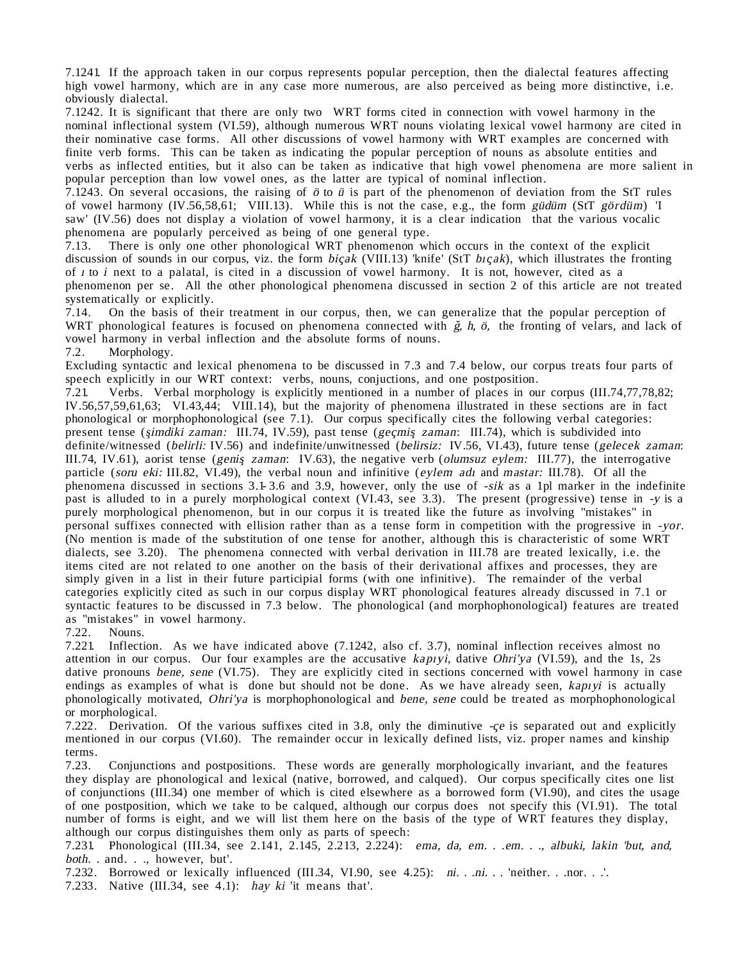7.1241. If the approach taken in our corpus represents popular perception, then the dialectal features affecting high vowel harmony, which are in any case more numerous, are also perceived as being more distinctive, i.e. obviously dialectal.

7.1242. It is significant that there are only two WRT forms cited in connection with vowel harmony in the nominal inflectional system (VI.59), although numerous WRT nouns violating lexical vowel harmony are cited in their nominative case forms. All other discussions of vowel harmony with WRT examples are concerned with finite verb forms. This can be taken as indicating the popular perception of nouns as absolute entities and verbs as inflected entities, but it also can be taken as indicative that high vowel phenomena are more salient in popular perception than low vowel ones, as the latter are typical of nominal inflection.

7.1243. On several occasions, the raising of ö to ü is part of the phenomenon of deviation from the StT rules of vowel harmony (IV.56,58,61; VIII.13). While this is not the case, e.g., the form güdüm (StT gördüm) 'I saw' (IV.56) does not display a violation of vowel harmony, it is a clear indication that the various vocalic phenomena are popularly perceived as being of one general type.

7.13. There is only one other phonological WRT phenomenon which occurs in the context of the explicit discussion of sounds in our corpus, viz. the form bicak (VIII.13) 'knife' (StT bicak), which illustrates the fronting of π to i next to a palatal, is cited in a discussion of vowel harmony. It is not, however, cited as a phenomenon per se. All the other phonological phenomena discussed in section 2 of this article are not treated systematically or explicitly.<br>7.14. On the basis of the

7.14. On the basis of their treatment in our corpus, then, we can generalize that the popular perception of WRT phonological features is focused on phenomena connected with  $\zeta$ , h,  $\ddot{o}$ , the fronting of velars, and lack of vowel harmony in verbal inflection and the absolute forms of nouns.

7.2. Morphology.

Excluding syntactic and lexical phenomena to be discussed in 7.3 and 7.4 below, our corpus treats four parts of speech explicitly in our WRT context: verbs, nouns, conjuctions, and one postposition.

7.21. Verbs. Verbal morphology is explicitly mentioned in a number of places in our corpus (III.74,77,78,82; IV.56,57,59,61,63; VI.43,44; VIII.14), but the majority of phenomena illustrated in these sections are in fact phonological or morphophonological (see 7.1). Our corpus specifically cites the following verbal categories: present tense (*simdiki zaman:* III.74, IV.59), past tense (*geçmiş zaman:* III.74), which is subdivided into definite/witnessed (belirli: IV.56) and indefinite/unwitnessed (belirsiz: IV.56, VI.43), future tense (gelecek zaman: III.74, IV.61), aorist tense (genis zaman: IV.63), the negative verb (olumsuz eylem: III.77), the interrogative particle (soru eki: III.82, VI.49), the verbal noun and infinitive (eylem adı and mastar: III.78). Of all the phenomena discussed in sections 3.1- 3.6 and 3.9, however, only the use of -sik as a 1pl marker in the indefinite past is alluded to in a purely morphological context (VI.43, see 3.3). The present (progressive) tense in -y is a purely morphological phenomenon, but in our corpus it is treated like the future as involving "mistakes" in personal suffixes connected with ellision rather than as a tense form in competition with the progressive in -yor. (No mention is made of the substitution of one tense for another, although this is characteristic of some WRT dialects, see 3.20). The phenomena connected with verbal derivation in III.78 are treated lexically, i.e. the items cited are not related to one another on the basis of their derivational affixes and processes, they are simply given in a list in their future participial forms (with one infinitive). The remainder of the verbal categories explicitly cited as such in our corpus display WRT phonological features already discussed in 7.1 or syntactic features to be discussed in 7.3 below. The phonological (and morphophonological) features are treated as "mistakes" in vowel harmony.<br>7.22. Nouns.

Nouns.

7.221. Inflection. As we have indicated above (7.1242, also cf. 3.7), nominal inflection receives almost no attention in our corpus. Our four examples are the accusative *kapryi*, dative *Ohri'ya* (VI.59), and the 1s, 2s dative pronouns bene, sene (VI.75). They are explicitly cited in sections concerned with vowel harmony in case endings as examples of what is done but should not be done. As we have already seen, kapiyi is actually phonologically motivated, Ohri'ya is morphophonological and bene, sene could be treated as morphophonological or morphological.

7.222. Derivation. Of the various suffixes cited in 3.8, only the diminutive  $-ce$  is separated out and explicitly mentioned in our corpus (VI.60). The remainder occur in lexically defined lists, viz. proper names and kinship terms.

7.23. Conjunctions and postpositions. These words are generally morphologically invariant, and the features they display are phonological and lexical (native, borrowed, and calqued). Our corpus specifically cites one list of conjunctions (III.34) one member of which is cited elsewhere as a borrowed form (VI.90), and cites the usage of one postposition, which we take to be calqued, although our corpus does not specify this (VI.91). The total number of forms is eight, and we will list them here on the basis of the type of WRT features they display, although our corpus distinguishes them only as parts of speech:

7.231. Phonological (III.34, see 2.141, 2.145, 2.213, 2.224): ema, da, em. . .em. . ., albuki, lakin 'but, and, both. . and. . ., however, but'.

7.232. Borrowed or lexically influenced (III.34, VI.90, see 4.25): ni. . .ni. . .'neither. . .nor. . .'.

7.233. Native (III.34, see 4.1): hay ki 'it means that'.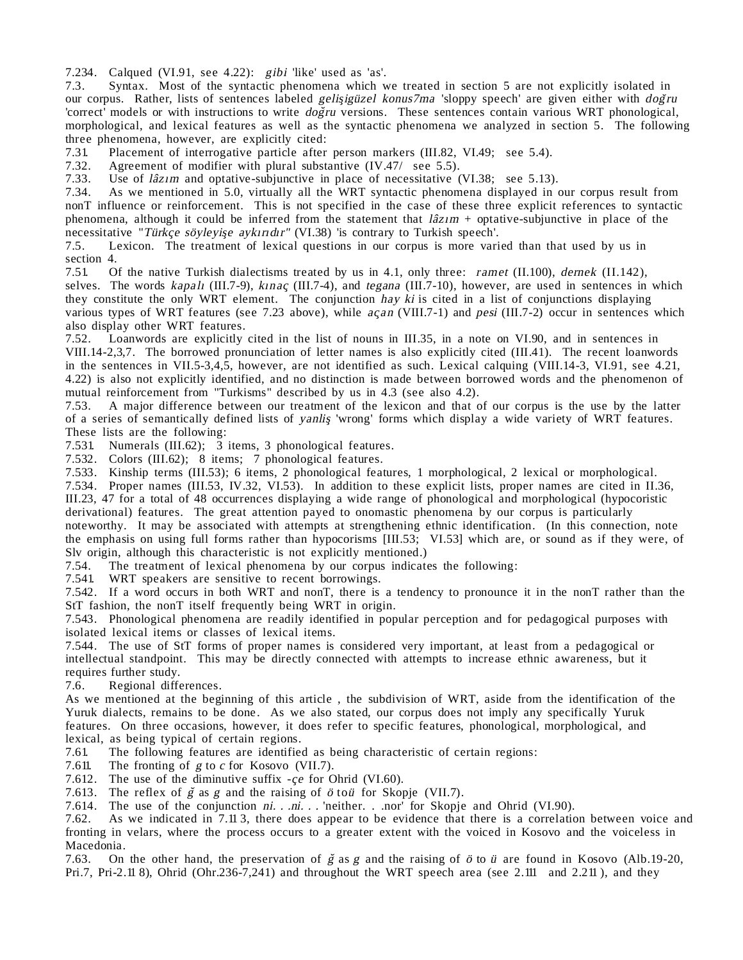7.234. Calqued (VI.91, see 4.22): gibi 'like' used as 'as'.

7.3. Syntax. Most of the syntactic phenomena which we treated in section 5 are not explicitly isolated in our corpus. Rather, lists of sentences labeled gelisigüzel konus7ma 'sloppy speech' are given either with dogru 'correct<sup>'</sup> models or with instructions to write *dogru* versions. These sentences contain various WRT phonological, morphological, and lexical features as well as the syntactic phenomena we analyzed in section 5. The following three phenomena, however, are explicitly cited:

7.31. Placement of interrogative particle after person markers (III.82, VI.49; see 5.4).<br>7.32. Agreement of modifier with plural substantive (IV.47/ see 5.5).

7.32. Agreement of modifier with plural substantive  $(IV.47/$  see 5.5).<br>7.33. Use of  $l\hat{a}z\hat{i}m$  and optative-subjunctive in place of necessitative (

7.33. Use of  $l\hat{a}z_1m$  and optative-subjunctive in place of necessitative (VI.38; see 5.13). 7.34. As we mentioned in 5.0, virtually all the WRT syntactic phenomena displayed in  $\epsilon$ 

As we mentioned in 5.0, virtually all the WRT syntactic phenomena displayed in our corpus result from nonT influence or reinforcement. This is not specified in the case of these three explicit references to syntactic phenomena, although it could be inferred from the statement that  $l\hat{a}z_1m$  + optative-subjunctive in place of the necessitative "Türkçe söyleyişe aykırıdır" (VI.38) 'is contrary to Turkish speech'.

7.5. Lexicon. The treatment of lexical questions in our corpus is more varied than that used by us in section 4.<br> $7.51\qquad$  O

Of the native Turkish dialectisms treated by us in 4.1, only three: ramet  $(II.100)$ , dernek  $(II.142)$ , selves. The words kapalı (III.7-9), kınaç (III.7-4), and tegana (III.7-10), however, are used in sentences in which they constitute the only WRT element. The conjunction hay ki is cited in a list of conjunctions displaying various types of WRT features (see 7.23 above), while açan (VIII.7-1) and pesi (III.7-2) occur in sentences which also display other WRT features.<br>7.52. Loanwords are explicitly

Loanwords are explicitly cited in the list of nouns in III.35, in a note on VI.90, and in sentences in VIII.14-2,3,7. The borrowed pronunciation of letter names is also explicitly cited (III.41). The recent loanwords in the sentences in VII.5-3,4,5, however, are not identified as such. Lexical calquing (VIII.14-3, VI.91, see 4.21, 4.22) is also not explicitly identified, and no distinction is made between borrowed words and the phenomenon of mutual reinforcement from "Turkisms" described by us in 4.3 (see also 4.2).

7.53. A major difference between our treatment of the lexicon and that of our corpus is the use by the latter of a series of semantically defined lists of yanlis 'wrong' forms which display a wide variety of WRT features. These lists are the following:

7.531. Numerals (III.62); 3 items, 3 phonological features.

7.532. Colors (III.62); 8 items; 7 phonological features.

7.533. Kinship terms (III.53); 6 items, 2 phonological features, 1 morphological, 2 lexical or morphological.

7.534. Proper names (III.53, IV.32, VI.53). In addition to these explicit lists, proper names are cited in II.36, III.23, 47 for a total of 48 occurrences displaying a wide range of phonological and morphological (hypocoristic

derivational) features. The great attention payed to onomastic phenomena by our corpus is particularly noteworthy. It may be associated with attempts at strengthening ethnic identification. (In this connection, note the emphasis on using full forms rather than hypocorisms [III.53; VI.53] which are, or sound as if they were, of Slv origin, although this characteristic is not explicitly mentioned.)

7.54. The treatment of lexical phenomena by our corpus indicates the following:<br>7.541. WRT speakers are sensitive to recent borrowings.

WRT speakers are sensitive to recent borrowings.

7.542. If a word occurs in both WRT and nonT, there is a tendency to pronounce it in the nonT rather than the StT fashion, the nonT itself frequently being WRT in origin.

7.543. Phonological phenomena are readily identified in popular perception and for pedagogical purposes with isolated lexical items or classes of lexical items.

7.544. The use of StT forms of proper names is considered very important, at least from a pedagogical or intellectual standpoint. This may be directly connected with attempts to increase ethnic awareness, but it requires further study.<br>7.6. Regional differ-

Regional differences.

As we mentioned at the beginning of this article , the subdivision of WRT, aside from the identification of the Yuruk dialects, remains to be done. As we also stated, our corpus does not imply any specifically Yuruk features. On three occasions, however, it does refer to specific features, phonological, morphological, and lexical, as being typical of certain regions.

7.61. The following features are identified as being characteristic of certain regions: 7.611. The fronting of  $g$  to  $c$  for Kosovo (VII.7).

The fronting of  $g$  to  $c$  for Kosovo (VII.7).

7.612. The use of the diminutive suffix  $-ce$  for Ohrid (VI.60).

7.613. The reflex of  $\breve{g}$  as  $g$  and the raising of  $\breve{\sigma}$  to  $\breve{u}$  for Skopje (VII.7).

7.614. The use of the conjunction  $ni.$  .  $ni.$  . 'neither. . .nor<sup>5</sup> for Skopje and Ohrid (VI.90). 7.62. As we indicated in 7.11.3, there does appear to be evidence that there is a correlation

As we indicated in 7.11 3, there does appear to be evidence that there is a correlation between voice and fronting in velars, where the process occurs to a greater extent with the voiced in Kosovo and the voiceless in Macedonia.<br>7.63. On

On the other hand, the preservation of  $\breve{g}$  as g and the raising of  $\breve{\sigma}$  to  $\breve{u}$  are found in Kosovo (Alb.19-20, Pri.7, Pri-2.11 8), Ohrid (Ohr.236-7,241) and throughout the WRT speech area (see 2.111 and 2.211 ), and they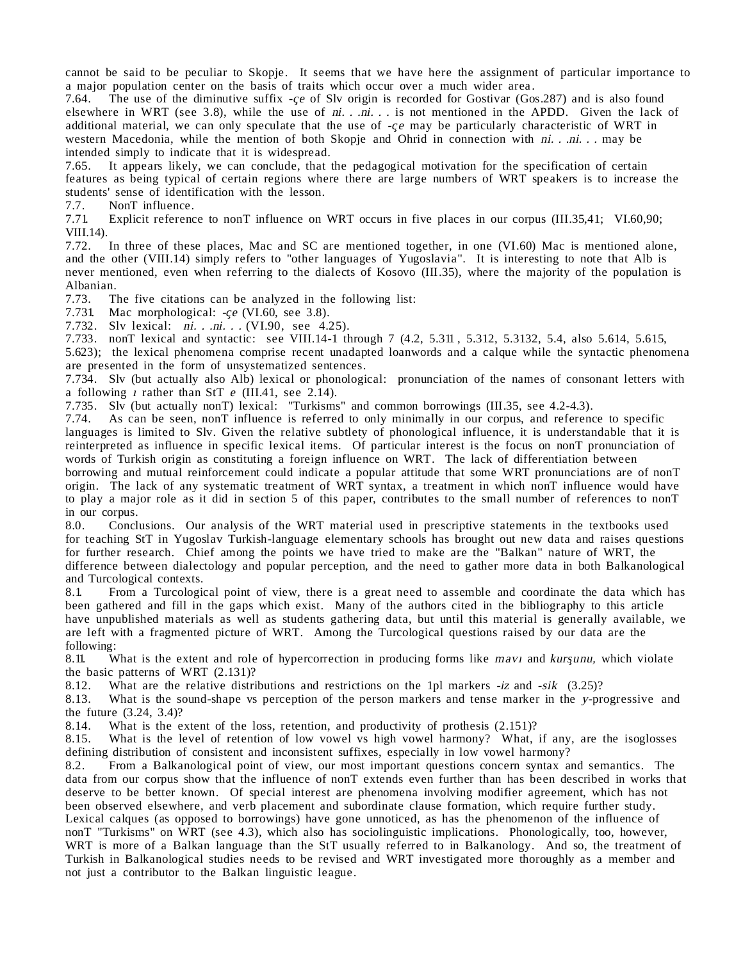cannot be said to be peculiar to Skopje. It seems that we have here the assignment of particular importance to a major population center on the basis of traits which occur over a much wider area.<br>7.64. The use of the diminutive suffix -ce of Sly origin is recorded for Gostivar (Gostivar)

The use of the diminutive suffix -ce of Slv origin is recorded for Gostivar (Gos.287) and is also found elsewhere in WRT (see 3.8), while the use of  $ni.$  . .  $ni.$  . is not mentioned in the APDD. Given the lack of additional material, we can only speculate that the use of -ce may be particularly characteristic of WRT in western Macedonia, while the mention of both Skopje and Ohrid in connection with ni. . .ni. . . may be intended simply to indicate that it is widespread.

7.65. It appears likely, we can conclude, that the pedagogical motivation for the specification of certain features as being typical of certain regions where there are large numbers of WRT speakers is to increase the students' sense of identification with the lesson.<br>7.7. NonT influence.

7.7. NonT influence.<br>7.71. Explicit referenc

Explicit reference to nonT influence on WRT occurs in five places in our corpus (III.35,41; VI.60,90; VIII.14).<br>7.72.

In three of these places, Mac and SC are mentioned together, in one (VI.60) Mac is mentioned alone, and the other (VIII.14) simply refers to "other languages of Yugoslavia". It is interesting to note that Alb is never mentioned, even when referring to the dialects of Kosovo (III.35), where the majority of the population is Albanian.<br>7.73. Tl

The five citations can be analyzed in the following list:

7.731. Mac morphological:  $-ce$  (VI.60, see 3.8).

7.732. Slv lexical: ni. . .ni. . . (VI.90, see 4.25).

7.733. nonT lexical and syntactic: see VIII.14-1 through 7 (4.2, 5.311 , 5.312, 5.3132, 5.4, also 5.614, 5.615,

5.623); the lexical phenomena comprise recent unadapted loanwords and a calque while the syntactic phenomena are presented in the form of unsystematized sentences.

7.734. Slv (but actually also Alb) lexical or phonological: pronunciation of the names of consonant letters with a following  $\mu$  rather than StT e (III.41, see 2.14).

7.735. Slv (but actually nonT) lexical: "Turkisms" and common borrowings (III.35, see 4.2-4.3).

As can be seen, nonT influence is referred to only minimally in our corpus, and reference to specific languages is limited to Slv. Given the relative subtlety of phonological influence, it is understandable that it is reinterpreted as influence in specific lexical items. Of particular interest is the focus on nonT pronunciation of words of Turkish origin as constituting a foreign influence on WRT. The lack of differentiation between

borrowing and mutual reinforcement could indicate a popular attitude that some WRT pronunciations are of nonT origin. The lack of any systematic treatment of WRT syntax, a treatment in which nonT influence would have to play a major role as it did in section 5 of this paper, contributes to the small number of references to nonT in our corpus.<br>8.0. Conclu

Conclusions. Our analysis of the WRT material used in prescriptive statements in the textbooks used for teaching StT in Yugoslav Turkish-language elementary schools has brought out new data and raises questions for further research. Chief among the points we have tried to make are the "Balkan" nature of WRT, the difference between dialectology and popular perception, and the need to gather more data in both Balkanological and Turcological contexts.

8.1. From a Turcological point of view, there is a great need to assemble and coordinate the data which has been gathered and fill in the gaps which exist. Many of the authors cited in the bibliography to this article have unpublished materials as well as students gathering data, but until this material is generally available, we are left with a fragmented picture of WRT. Among the Turcological questions raised by our data are the following:<br>8.11. W

What is the extent and role of hypercorrection in producing forms like may and kursunu, which violate the basic patterns of WRT (2.131)?<br>8.12. What are the relative distri

8.12. What are the relative distributions and restrictions on the 1pl markers  $-iz$  and  $-sik$  (3.25)?<br>8.13. What is the sound-shape vs perception of the person markers and tense marker in the *y*-pro-

What is the sound-shape vs perception of the person markers and tense marker in the y-progressive and the future (3.24, 3.4)?

8.14. What is the extent of the loss, retention, and productivity of prothesis (2.151)?<br>8.15. What is the level of retention of low yowel vs high yowel harmony? What, i

What is the level of retention of low vowel vs high vowel harmony? What, if any, are the isoglosses defining distribution of consistent and inconsistent suffixes, especially in low vowel harmony?

8.2. From a Balkanological point of view, our most important questions concern syntax and semantics. The data from our corpus show that the influence of nonT extends even further than has been described in works that deserve to be better known. Of special interest are phenomena involving modifier agreement, which has not been observed elsewhere, and verb placement and subordinate clause formation, which require further study. Lexical calques (as opposed to borrowings) have gone unnoticed, as has the phenomenon of the influence of nonT "Turkisms" on WRT (see 4.3), which also has sociolinguistic implications. Phonologically, too, however, WRT is more of a Balkan language than the StT usually referred to in Balkanology. And so, the treatment of Turkish in Balkanological studies needs to be revised and WRT investigated more thoroughly as a member and not just a contributor to the Balkan linguistic league.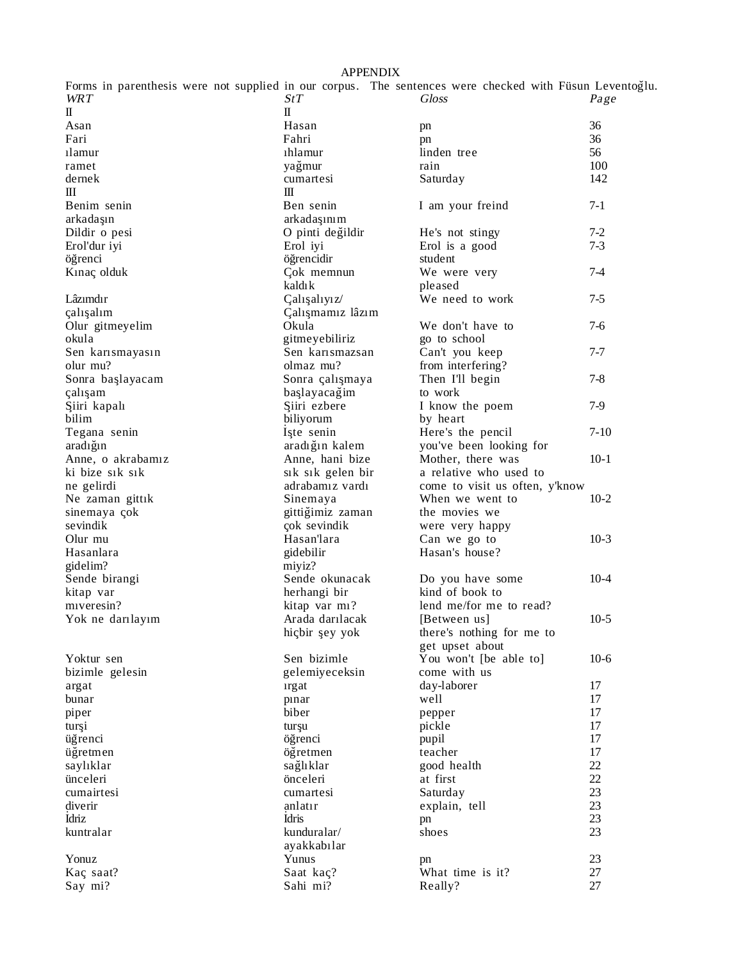# APPENDIX

| Forms in parenthesis were not supplied in our corpus. The sentences were checked with Füsun Leventoğlu. |                                      |                                |         |
|---------------------------------------------------------------------------------------------------------|--------------------------------------|--------------------------------|---------|
| <b>WRT</b>                                                                                              | StT                                  | <b>Gloss</b>                   | Page    |
| $\mathbb{I}$                                                                                            | $\mathbb{I}$                         |                                |         |
| Asan                                                                                                    | Hasan                                | pn                             | 36      |
| Fari                                                                                                    | Fahri                                | pn                             | 36      |
| 1 amur                                                                                                  | 1hlamur                              | linden tree                    | 56      |
| ramet                                                                                                   | yağmur                               | rain                           | 100     |
| dernek                                                                                                  | cumartesi                            | Saturday                       | 142     |
| Ш                                                                                                       | Ш                                    |                                |         |
| Benim senin                                                                                             | Ben senin                            |                                | $7-1$   |
|                                                                                                         |                                      | I am your freind               |         |
| arkadaşın                                                                                               | arkadaşınım                          |                                |         |
| Dildir o pesi                                                                                           | O pinti değildir                     | He's not stingy                | $7-2$   |
| Erol'dur iyi                                                                                            | Erol iyi                             | Erol is a good                 | $7 - 3$ |
| öğrenci                                                                                                 | öğrencidir                           | student                        |         |
| Kinaç olduk                                                                                             | Çok memnun                           | We were very                   | $7 - 4$ |
|                                                                                                         | kaldık                               | pleased                        |         |
| Lâzımdır                                                                                                | Çalışalıyız/                         | We need to work                | $7 - 5$ |
| çalışalım                                                                                               | Çalışmamız lâzım                     |                                |         |
| Olur gitmeyelim                                                                                         | Okula                                | We don't have to               | $7-6$   |
| okula                                                                                                   | gitmeyebiliriz                       | go to school                   |         |
| Sen karısmayasın                                                                                        | Sen karismazsan                      | Can't you keep                 | $7 - 7$ |
| olur mu?                                                                                                | olmaz mu?                            | from interfering?              |         |
| Sonra başlayacam                                                                                        | Sonra çalışmaya                      | Then I'll begin                | $7 - 8$ |
| çalışam                                                                                                 | başlayacağim                         | to work                        |         |
| Şiiri kapalı                                                                                            | Siiri ezbere                         | I know the poem                | $7-9$   |
| bilim                                                                                                   | biliyorum                            | by heart                       |         |
| Tegana senin                                                                                            | Iste senin                           | Here's the pencil              | $7-10$  |
| aradığın                                                                                                | aradığın kalem                       | you've been looking for        |         |
| Anne, o akrabamız                                                                                       | Anne, hani bize                      | Mother, there was              | $10-1$  |
| ki bize sik sik                                                                                         |                                      | a relative who used to         |         |
|                                                                                                         | sik sik gelen bir<br>adrabamız vardı | come to visit us often, y'know |         |
| ne gelirdi                                                                                              |                                      |                                | $10-2$  |
| Ne zaman gittik                                                                                         | Sinemaya                             | When we went to                |         |
| sinemaya çok                                                                                            | gittiğimiz zaman                     | the movies we                  |         |
| sevindik                                                                                                | çok sevindik                         | were very happy                |         |
| Olur mu                                                                                                 | Hasan'lara                           | Can we go to                   | $10-3$  |
| Hasanlara                                                                                               | gidebilir                            | Hasan's house?                 |         |
| gidelim?                                                                                                | miyiz?                               |                                |         |
| Sende birangi                                                                                           | Sende okunacak                       | Do you have some               | $10-4$  |
| kitap var                                                                                               | herhangi bir                         | kind of book to                |         |
| miveresin?                                                                                              | kitap var mi?                        | lend me/for me to read?        |         |
| Yok ne darılayım                                                                                        | Arada darilacak                      | [Between us]                   | $10-5$  |
|                                                                                                         | hiçbir şey yok                       | there's nothing for me to      |         |
|                                                                                                         |                                      | get upset about                |         |
| Yoktur sen                                                                                              | Sen bizimle                          | You won't [be able to]         | $10-6$  |
| bizimle gelesin                                                                                         | gelemiyeceksin                       | come with us                   |         |
| argat                                                                                                   | <i>argat</i>                         | day-laborer                    | 17      |
| bunar                                                                                                   | pinar                                | well                           | 17      |
| piper                                                                                                   | biber                                | pepper                         | 17      |
| turși                                                                                                   | turşu                                | pickle                         | 17      |
| üğrenci                                                                                                 | öğrenci                              | pupil                          | 17      |
| üğretmen                                                                                                | öğretmen                             | teacher                        | 17      |
| saylıklar                                                                                               | sağlıklar                            | good health                    | 22      |
| ünceleri                                                                                                | önceleri                             | at first                       | 22      |
| cumairtesi                                                                                              | cumartesi                            | Saturday                       | 23      |
| diverir                                                                                                 | anlatır                              | explain, tell                  | 23      |
| İdriz                                                                                                   | <b>İdris</b>                         |                                | 23      |
| kuntralar                                                                                               | kunduralar/                          | pn<br>shoes                    | 23      |
|                                                                                                         |                                      |                                |         |
|                                                                                                         | ayakkabılar                          |                                |         |
| Yonuz                                                                                                   | Yunus                                | pn                             | 23      |
| Kaç saat?                                                                                               | Saat kaç?                            | What time is it?               | 27      |
| Say mi?                                                                                                 | Sahi mi?                             | Really?                        | 27      |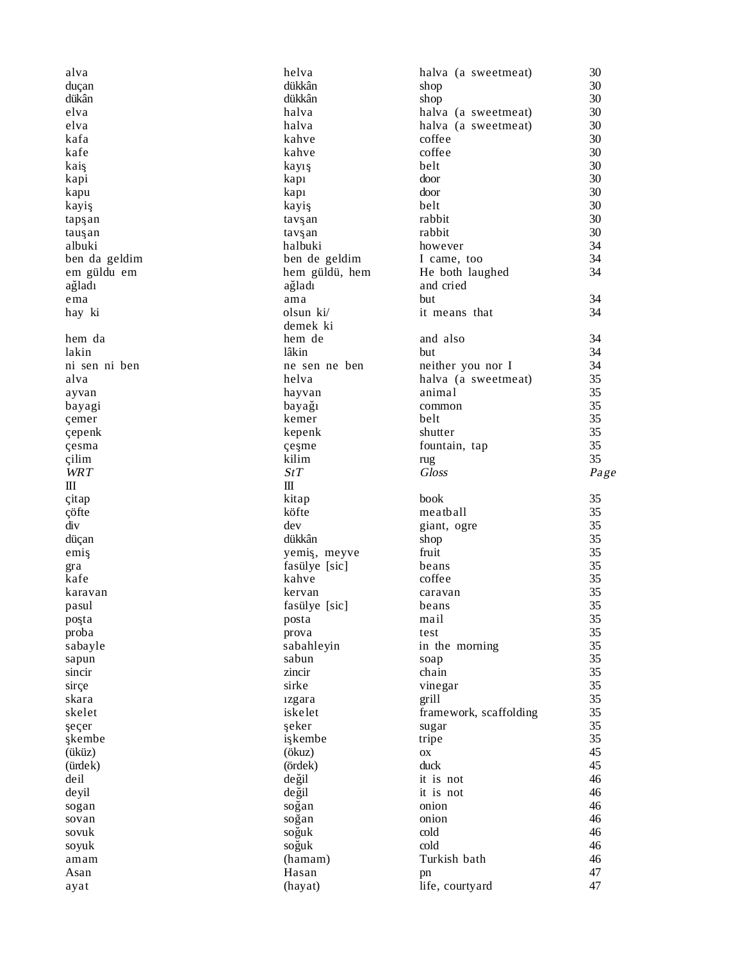| alva            | helva            | halva (a sweetmeat)    | 30       |
|-----------------|------------------|------------------------|----------|
| duçan           | dükkân           | shop                   | 30       |
| dükân           | dükkân           | shop                   | 30       |
| elva            | halva            | halva (a sweetmeat)    | 30       |
| elva            | halva            | halva (a sweetmeat)    | 30       |
| kafa            | kahve            | coffee                 | 30       |
| kafe            | kahve            | coffee                 | 30       |
| kaiş            | kayış            | belt                   | 30       |
| kapi            | kapi             | door                   | 30       |
| kapu            | kapi             | door                   | 30       |
| kayiş           | kayiş            | belt                   | 30       |
| tapşan          | tavşan           | rabbit                 | 30       |
| tauşan          | tavşan           | rabbit                 | 30       |
| albuki          | halbuki          | however                | 34       |
| ben da geldim   | ben de geldim    | I came, too            | 34       |
| em güldu em     | hem güldü, hem   | He both laughed        | 34       |
| ağladı          | ağladı           | and cried              |          |
|                 |                  | but                    | 34       |
| ema             | ama<br>olsun ki/ | it means that          | 34       |
| hay ki          |                  |                        |          |
|                 | demek ki         |                        |          |
| hem da          | hem de           | and also               | 34       |
| lakin           | lâkin            | but                    | 34       |
| ni sen ni ben   | ne sen ne ben    | neither you nor I      | 34       |
| alva            | helva            | halva (a sweetmeat)    | 35       |
| ayvan           | hayvan           | animal                 | 35       |
| bayagi          | bayağı           | common                 | 35       |
| çemer           | kemer            | belt                   | 35       |
| çepenk          | kepenk           | shutter                | 35       |
| çesma           | çeşme            | fountain, tap          | 35       |
| çilim           | kilim            | rug                    | 35       |
| <b>WRT</b>      | StT              | <b>Gloss</b>           | Page     |
|                 |                  |                        |          |
| Ш               | $\rm III$        |                        |          |
| citap           | kitap            | book                   | 35       |
| çöfte           | köfte            | meatball               | 35       |
| div             | dev              | giant, ogre            | 35       |
| düçan           | dükkân           | shop                   | 35       |
| emiş            | yemiş, meyve     | fruit                  | 35       |
| gra             | fasülye [sic]    | beans                  | 35       |
| kafe            | kahve            | coffee                 | 35       |
| karavan         | kervan           | caravan                | 35       |
| pasul           | fasülye [sic]    | beans                  | 35       |
|                 |                  | mail                   | 35       |
| poşta<br>proba  | posta<br>prova   | test                   | 35       |
|                 |                  |                        | 35       |
| sabayle         | sabahleyin       | in the morning         |          |
| sapun<br>sincir | sabun<br>zincir  | soap<br>chain          | 35<br>35 |
|                 |                  |                        |          |
| sirçe           | sirke            | vinegar                | 35       |
| skara           | 1zgara           | grill                  | 35       |
| skelet          | iskelet          | framework, scaffolding | 35       |
| şeçer           | şeker            | sugar                  | 35       |
| şkembe          | işkembe          | tripe                  | 35       |
| (üküz)          | (ökuz)           | OX                     | 45       |
| (ürdek)         | (ördek)          | duck                   | 45       |
| deil            | değil            | it is not              | 46       |
| deyil           | değil            | it is not              | 46       |
| sogan           | soğan            | onion                  | 46       |
| sovan           | soğan            | onion                  | 46       |
| sovuk           | soğuk            | cold                   | 46       |
| soyuk           | soğuk            | cold                   | 46       |
| amam            | (hamam)          | Turkish bath           | 46       |
| Asan<br>ayat    | Hasan<br>(hayat) | pn<br>life, courtyard  | 47<br>47 |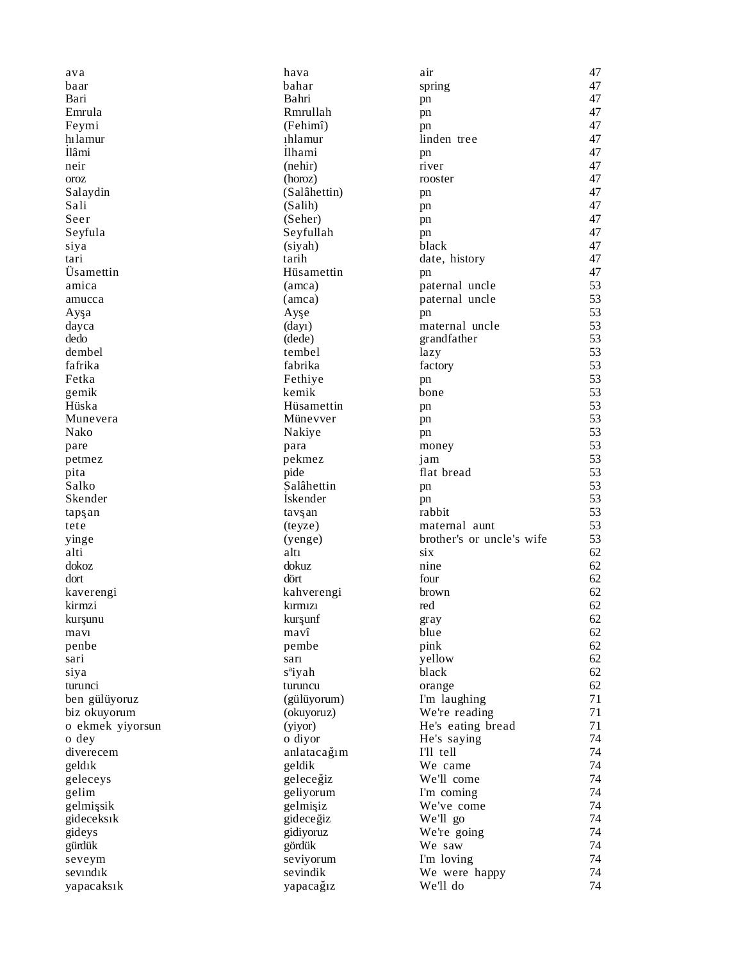| ava              | hava                | air                       | 47       |
|------------------|---------------------|---------------------------|----------|
| baar             | bahar               | spring                    | 47       |
| Bari             | Bahri               | pn                        | 47       |
| Emrula           | Rmrullah            | pn                        | 47       |
| Feymi            | (Fehimî)            | pn                        | 47       |
| hılamur          | 1hlamur             | linden tree               | 47       |
| İlâmi            | Ilhami              | pn                        | 47       |
| neir             | (nehir)             | river                     | 47       |
| oroz             | (horoz)             | rooster                   | 47       |
| Salaydin         | (Salâhettin)        | pn                        | 47       |
| Sali             | (Salih)             | pn                        | 47       |
| Seer             | (Seher)             | pn                        | 47       |
| Seyfula          | Seyfullah           | pn                        | 47       |
| siya             | (siyah)             | black                     | 47       |
| tari             | tarih               | date, history             | 47       |
| Üsamettin        | Hüsamettin          | pn                        | 47       |
| amica            | (amca)              | paternal uncle            | 53       |
|                  |                     |                           | 53       |
| amucca           | (amca)              | paternal uncle            |          |
| Ayşa             | Ayşe                | pn<br>maternal uncle      | 53<br>53 |
| dayca            | (day)               |                           |          |
| dedo             | (dede)              | grandfather               | 53       |
| dembel           | tembel              | lazy                      | 53       |
| fafrika          | fabrika             | factory                   | 53       |
| Fetka            | Fethiye             | pn                        | 53       |
| gemik            | kemik               | bone                      | 53       |
| Hüska            | Hüsamettin          | pn                        | 53       |
| Munevera         | Münevver            | pn                        | 53       |
| Nako             | Nakiye              | pn                        | 53       |
| pare             | para                | money                     | 53       |
| petmez           | pekmez              | jam                       | 53       |
| pita             | pide                | flat bread                | 53       |
| Salko            | Salâhettin          | pn                        | 53       |
| Skender          | Iskender            | pn                        | 53       |
| tapşan           | tavşan              | rabbit                    | 53       |
| tete             | (teyze)             | maternal aunt             | 53       |
| yinge            | (yenge)             | brother's or uncle's wife | 53       |
| alti             | altı                | six                       | 62       |
| dokoz            | dokuz               | nine                      | 62       |
| dort             | dört                | four                      | 62       |
| kaverengi        | kahverengi          | brown                     | 62       |
| kirmzi           | kirmizi             | red                       | 62       |
| kurşunu          | kurşunf             | gray                      | 62       |
| mavi             | mavî                | blue                      | 62       |
| penbe            | pembe               | pink                      | 62       |
| sari             | sarı                | yellow                    | 62       |
| siya             | s <sup>a</sup> iyah | black                     | 62       |
| turunci          | turuncu             | orange                    | 62       |
| ben gülüyoruz    | (gülüyorum)         | I'm laughing              | 71       |
| biz okuyorum     | (okuyoruz)          | We're reading             | 71       |
| o ekmek yiyorsun | (yiyor)             | He's eating bread         | 71       |
| o dey            | o diyor             |                           | 74       |
| diverecem        |                     | He's saying<br>I'll tell  | 74       |
| geldik           | anlatacağım         | We came                   | 74       |
|                  | geldik              |                           |          |
| geleceys         | geleceğiz           | We'll come                | 74       |
| gelim            | geliyorum           | I'm coming                | 74       |
| gelmişsik        | gelmişiz            | We've come                | 74       |
| gideceksık       | gideceğiz           | We'll go                  | 74       |
| gideys           | gidiyoruz           | We're going               | 74       |
| gürdük           | gördük              | We saw                    | 74       |
| seveym           | seviyorum           | I'm loving                | 74       |
| sevindik         | sevindik            | We were happy             | 74       |
| yapacaksık       | yapacağız           | We'll do                  | 74       |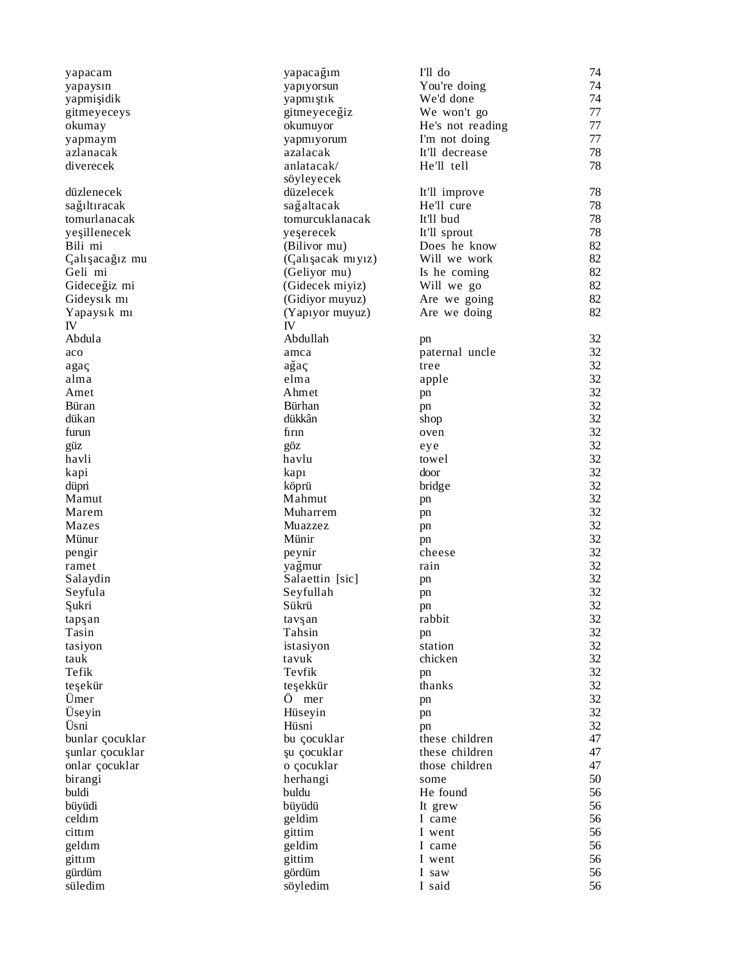| yapacam         | yapacağım         | I'll do          | 74 |
|-----------------|-------------------|------------------|----|
| yapaysın        | yapıyorsun        | You're doing     | 74 |
| yapmişidik      | yapmıştık         | We'd done        | 74 |
| gitmeyeceys     | gitmeyeceğiz      | We won't go      | 77 |
| okumay          | okumuyor          | He's not reading | 77 |
| yapmaym         | yapmıyorum        | I'm not doing    | 77 |
| azlanacak       | azalacak          | It'll decrease   | 78 |
| diverecek       | anlatacak/        | He'll tell       | 78 |
|                 | söyleyecek        |                  |    |
| düzlenecek      | düzelecek         | It'll improve    | 78 |
| sağıltıracak    | sağaltacak        | He'll cure       | 78 |
| tomurlanacak    | tomurcuklanacak   | It'll bud        | 78 |
| yeşillenecek    | yeserecek         | It'll sprout     | 78 |
| Bili mi         | (Bilivor mu)      | Does he know     | 82 |
| Çalışacağız mu  | (Çalışacak mıyız) | Will we work     | 82 |
| Geli mi         | (Geliyor mu)      | Is he coming     | 82 |
| Gideceğiz mi    | (Gidecek miyiz)   | Will we go       | 82 |
| Gideysik mi     | (Gidiyor muyuz)   | Are we going     | 82 |
| Yapaysık mı     | (Yapıyor muyuz)   | Are we doing     | 82 |
| IV              | IV                |                  |    |
| Abdula          | Abdullah          | pn               | 32 |
| aco             | amca              | paternal uncle   | 32 |
| agaç            | ağaç              | tree             | 32 |
| alma            | elma              | apple            | 32 |
| Amet            | Ahmet             |                  | 32 |
| <b>Büran</b>    | Bürhan            | pn               | 32 |
| dükan           | dükkân            | pn               | 32 |
| furun           | firin             | shop             | 32 |
|                 |                   | oven             | 32 |
| güz             | göz               | eye              | 32 |
| havli           | havlu             | towel            |    |
| kapi            | kapi              | door             | 32 |
| düpri           | köprü             | bridge           | 32 |
| Mamut           | Mahmut            | pn               | 32 |
| Marem           | Muharrem          | pn               | 32 |
| Mazes           | Muazzez           | pn               | 32 |
| Münur           | Münir             | pn               | 32 |
| pengir          | peynir            | cheese           | 32 |
| ramet           | yağmur            | rain             | 32 |
| Salaydin        | Salaettin [sic]   | pn               | 32 |
| Seyfula         | Seyfullah         | pn               | 32 |
| Şukri           | Sükrü             | pn               | 32 |
| tapşan          | tavşan            | rabbit           | 32 |
| Tasin           | Tahsin            | pn               | 32 |
| tasiyon         | istasiyon         | station          | 32 |
| tauk            | tavuk             | chicken          | 32 |
| Tefik           | Tevfik            | pn               | 32 |
| teşekür         | teşekkür          | thanks           | 32 |
| Umer            | Ö™mer             | pn               | 32 |
| Üseyin          | Hüseyin           | pn               | 32 |
| Üsni            | Hüsni             | pn               | 32 |
| bunlar çocuklar | bu çocuklar       | these children   | 47 |
| şunlar çocuklar | şu çocuklar       | these children   | 47 |
| onlar çocuklar  | o çocuklar        | those children   | 47 |
| birangi         | herhangi          | some             | 50 |
| buldi           | buldu             | He found         | 56 |
| büyüdi          | büyüdü            | It grew          | 56 |
| celdim          | geldim            | I came           | 56 |
| cittim          | gittim            | I went           | 56 |
| geldim          | geldim            | I came           | 56 |
| gittim          | gittim            | I went           | 56 |
| gürdüm          | gördüm            | I saw            | 56 |
| süledim         | söyledim          | I said           | 56 |
|                 |                   |                  |    |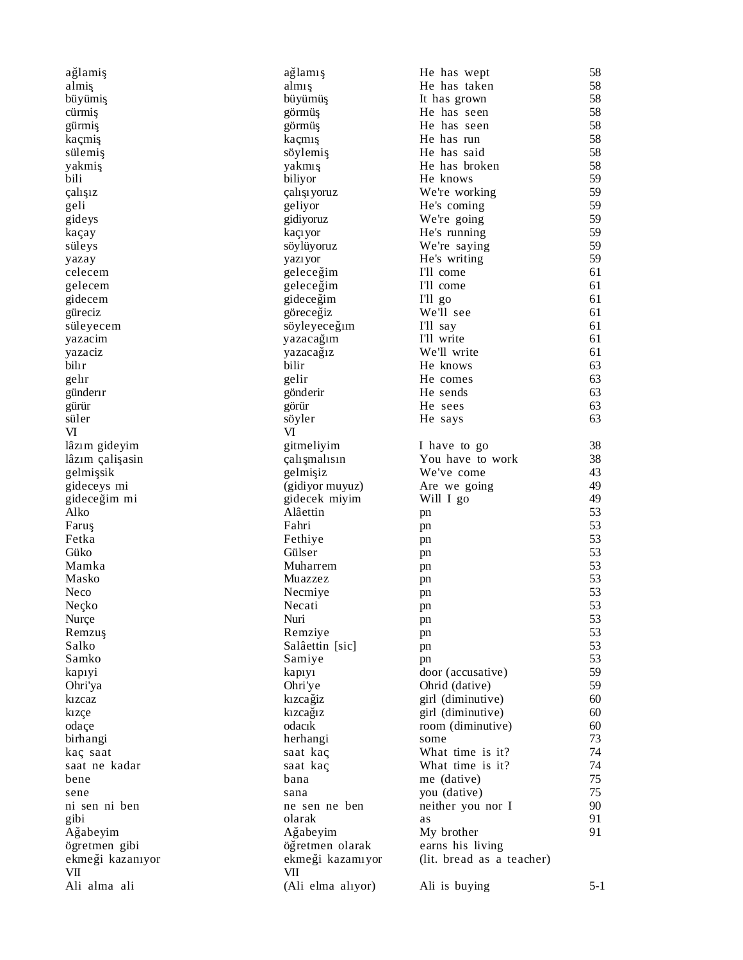| ağlamiş          | ağlamış           | He has wept               | 58      |
|------------------|-------------------|---------------------------|---------|
| almiş            | almış             | He has taken              | 58      |
| büyümiş          | büyümüş           | It has grown              | 58      |
| cürmiş           | görmüş            | He has seen               | 58      |
| gürmiş           | görmüş            | He has seen               | 58      |
| kaçmiş           | kaçmış            | He has run                | 58      |
| sülemiş          | söylemiş          | He has said               | 58      |
| yakmiş           | yakmış            | He has broken             | 58      |
| bili             | biliyor           | He knows                  | 59      |
| çalışız          | çalışıyoruz       | We're working             | 59      |
| geli             | geliyor           | He's coming               | 59      |
| gideys           | gidiyoruz         | We're going               | 59      |
| kaçay            | kaçıyor           | He's running              | 59      |
| süleys           | söylüyoruz        | We're saying              | 59      |
| yazay            | yazıyor           | He's writing              | 59      |
| celecem          | geleceğim         | I'll come                 | 61      |
| gelecem          | geleceğim         | I'll come                 | 61      |
| gidecem          | gideceğim         | I'll go                   | 61      |
| güreciz          | göreceğiz         | We'll see                 | 61      |
| süleyecem        | söyleyeceğim      | I'll say                  | 61      |
| yazacim          | yazacağım         | I'll write                | 61      |
|                  | yazacağız         | We'll write               | 61      |
| yazaciz<br>bilir | bilir             | He knows                  | 63      |
|                  |                   |                           | 63      |
| gelir            | gelir             | He comes                  |         |
| günderir         | gönderir          | He sends                  | 63      |
| gürür            | görür             | He sees                   | 63      |
| süler            | söyler            | He says                   | 63      |
| VI               | VI                |                           |         |
| lâzım gideyim    | gitmeliyim        | I have to go              | 38      |
| lâzım çalişasin  | çalışmalısın      | You have to work          | 38      |
| gelmişsik        | gelmişiz          | We've come                | 43      |
| gideceys mi      | (gidiyor muyuz)   | Are we going              | 49      |
| gideceğim mi     | gidecek miyim     | Will I go                 | 49      |
| Alko             | Alâettin          | pn                        | 53      |
| Faruş            | Fahri             | pn                        | 53      |
| Fetka            | Fethiye           | pn                        | 53      |
| Güko             | Gülser            | pn                        | 53      |
| Mamka            | Muharrem          | pn                        | 53      |
| Masko            | Muazzez           | pn                        | 53      |
| Neco             | Necmiye           | pn                        | 53      |
| Neçko            | Necati            | pn                        | 53      |
| Nurce            | Nuri              | pn                        | 53      |
| Remzuş           | Remziye           | pn                        | 53      |
| Salko            | Salâettin [sic]   | pn                        | 53      |
| Samko            | Samiye            | pn                        | 53      |
| kapiyi           | kapiyi            | door (accusative)         | 59      |
| Ohri'ya          | Ohri'ye           | Ohrid (dative)            | 59      |
| kizcaz           | kizcağiz          | girl (diminutive)         | 60      |
| kizçe            | kizcağız          | girl (diminutive)         | 60      |
| odaçe            | odacık            | room (diminutive)         | 60      |
| birhangi         | herhangi          | some                      | 73      |
| kaç saat         | saat kaç          | What time is it?          | 74      |
| saat ne kadar    | saat kaç          | What time is it?          | 74      |
| bene             | bana              | me (dative)               | 75      |
|                  |                   | you (dative)              | 75      |
| sene             | sana              |                           |         |
| ni sen ni ben    | ne sen ne ben     | neither you nor I         | 90      |
| gibi             | olarak            | as                        | 91      |
| Ağabeyim         | Ağabeyim          | My brother                | 91      |
| ögretmen gibi    | öğretmen olarak   | earns his living          |         |
| ekmeği kazanıyor | ekmeği kazamıyor  | (lit. bread as a teacher) |         |
| VШ               | VII               |                           |         |
| Ali alma ali     | (Ali elma alıyor) | Ali is buying             | $5 - 1$ |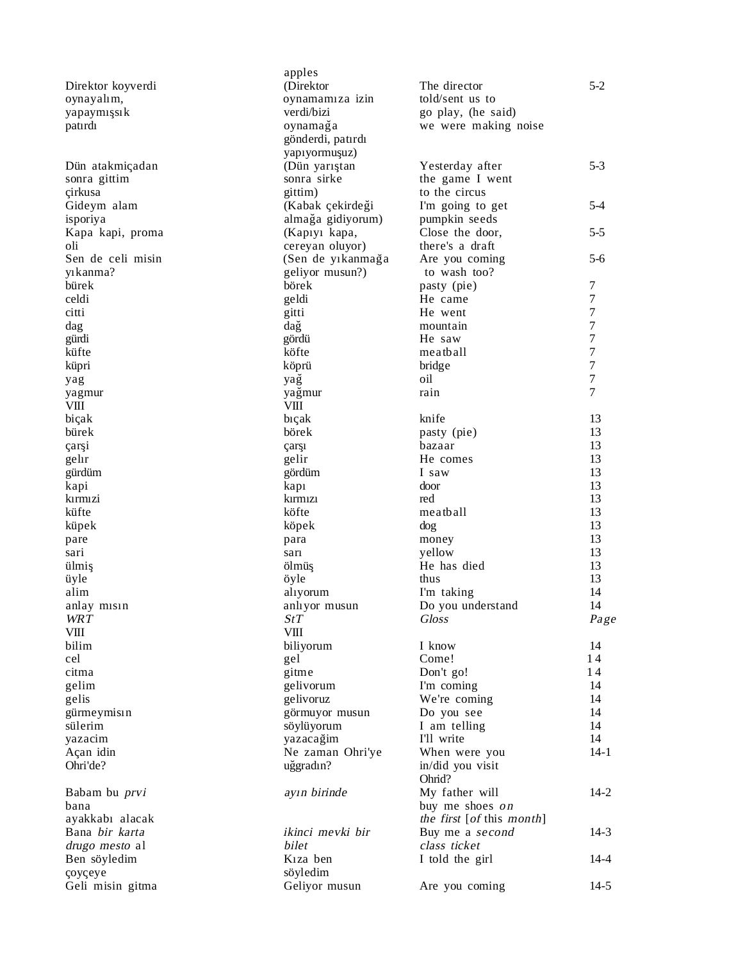|                      | apples                |                           |                                      |
|----------------------|-----------------------|---------------------------|--------------------------------------|
| Direktor koyverdi    | (Direktor             | The director              | $5-2$                                |
| oynayalım,           | oynamamıza izin       | told/sent us to           |                                      |
| yapaymışsık          | verdi/bizi            | go play, (he said)        |                                      |
| patirdi              | oynamağa              | we were making noise      |                                      |
|                      | gönderdi, patırdı     |                           |                                      |
|                      | yapıyormuşuz)         |                           |                                      |
| Dün atakmiçadan      | (Dün yarıştan         | Yesterday after           | $5 - 3$                              |
| sonra gittim         | sonra sirke           | the game I went           |                                      |
| çirkusa              | gittim)               | to the circus             |                                      |
| Gideym alam          | (Kabak çekirdeği      | I'm going to get          | 5-4                                  |
| isporiya             | almağa gidiyorum)     | pumpkin seeds             |                                      |
| Kapa kapi, proma     | (Kapiyi kapa,         | Close the door,           | $5 - 5$                              |
| oli                  | cereyan oluyor)       | there's a draft           |                                      |
| Sen de celi misin    | (Sen de yıkanmağa     | Are you coming            | $5-6$                                |
| yikanma?             | geliyor musun?)       | to wash too?              |                                      |
| bürek                | börek                 | pasty (pie)               | 7                                    |
| celdi                | geldi                 | He came                   | $\tau$                               |
| citti                | gitti                 | He went                   | $\boldsymbol{7}$<br>$\boldsymbol{7}$ |
| dag                  | dağ                   | mountain                  |                                      |
| gürdi                | gördü                 | He saw                    | $\boldsymbol{7}$                     |
| küfte                | köfte                 | meatball                  | $\boldsymbol{7}$                     |
| küpri                | köprü                 | bridge                    | $\boldsymbol{7}$                     |
| yag                  | yağ                   | oil                       | $\boldsymbol{7}$                     |
| yagmur               | yağmur                | rain                      | $\overline{7}$                       |
| VIII                 | VIII                  |                           |                                      |
| biçak                | biçak                 | knife                     | 13                                   |
| bürek                | börek                 | pasty (pie)               | 13                                   |
| çarşi                | çarşı                 | bazaar                    | 13                                   |
| gelir                | gelir                 | He comes                  | 13<br>13                             |
| gürdüm               | gördüm                | I saw                     | 13                                   |
| kapi                 | kapi                  | door                      |                                      |
| kırmızi              | kırmızı               | red                       | 13<br>13                             |
| küfte                | köfte                 | meatball                  | 13                                   |
| küpek                | köpek                 | dog                       | 13                                   |
| pare                 | para                  | money<br>yellow           | 13                                   |
| sari<br>ülmiş        | sarı<br>ölmüş         | He has died               | 13                                   |
| üyle                 | öyle                  | thus                      | 13                                   |
| alim                 | alıyorum              | I'm taking                | 14                                   |
| anlay misin          | anlıyor musun         | Do you understand         | 14                                   |
| <b>WRT</b>           | StT                   | <b>Gloss</b>              | Page                                 |
| VШ                   | VШ                    |                           |                                      |
| bilim                | biliyorum             | I know                    | 14                                   |
| cel                  | gel                   | Come!                     | 14                                   |
| citma                | gitme                 | Don't go!                 | 14                                   |
| gelim                | gelivorum             | I'm coming                | 14                                   |
| gelis                | gelivoruz             | We're coming              | 14                                   |
| gürmeymisın          | görmuyor musun        | Do you see                | 14                                   |
| sülerim              | söylüyorum            | I am telling              | 14                                   |
| yazacim              | yazacağim             | I'll write                | 14                                   |
| Açan idin            | Ne zaman Ohri'ye      | When were you             | $14-1$                               |
| Ohri'de?             | uğgradın?             | in/did you visit          |                                      |
|                      |                       | Ohrid?                    |                                      |
| Babam bu <i>prvi</i> | ayın birinde          | My father will            | $14 - 2$                             |
| bana                 |                       | buy me shoes on           |                                      |
| ayakkabı alacak      |                       | the first [of this month] |                                      |
| Bana bir karta       | ikinci mevki bir      | Buy me a second           | $14-3$                               |
| drugo mesto al       | bilet                 | class ticket              |                                      |
| Ben söyledim         | K <sub>1</sub> za ben | I told the girl           | 14-4                                 |
| çoyçeye              | söyledim              |                           |                                      |
| Geli misin gitma     | Geliyor musun         | Are you coming            | $14-5$                               |
|                      |                       |                           |                                      |